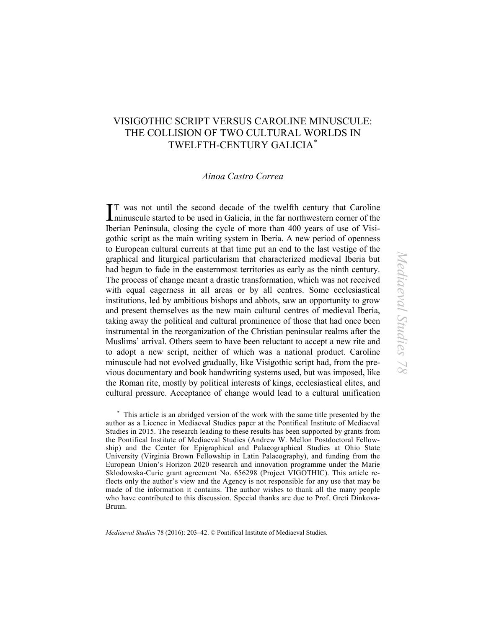# VISIGOTHIC SCRIPT VERSUS CAROLINE MINUSCULE: THE COLLISION OF TWO CULTURAL WORLDS IN TWELFTH-CENTURY GALICIA[∗](#page-0-0)

# *Ainoa Castro Correa*

T was not until the second decade of the twelfth century that Caroline IT was not until the second decade of the twelfth century that Caroline<br>minuscule started to be used in Galicia, in the far northwestern corner of the Iberian Peninsula, closing the cycle of more than 400 years of use of Visigothic script as the main writing system in Iberia. A new period of openness to European cultural currents at that time put an end to the last vestige of the graphical and liturgical particularism that characterized medieval Iberia but had begun to fade in the easternmost territories as early as the ninth century. The process of change meant a drastic transformation, which was not received with equal eagerness in all areas or by all centres. Some ecclesiastical institutions, led by ambitious bishops and abbots, saw an opportunity to grow and present themselves as the new main cultural centres of medieval Iberia, taking away the political and cultural prominence of those that had once been instrumental in the reorganization of the Christian peninsular realms after the Muslims' arrival. Others seem to have been reluctant to accept a new rite and to adopt a new script, neither of which was a national product. Caroline minuscule had not evolved gradually, like Visigothic script had, from the previous documentary and book handwriting systems used, but was imposed, like the Roman rite, mostly by political interests of kings, ecclesiastical elites, and cultural pressure. Acceptance of change would lead to a cultural unification

<span id="page-0-0"></span>∗ This article is an abridged version of the work with the same title presented by the author as a Licence in Mediaeval Studies paper at the Pontifical Institute of Mediaeval Studies in 2015. The research leading to these results has been supported by grants from the Pontifical Institute of Mediaeval Studies (Andrew W. Mellon Postdoctoral Fellowship) and the Center for Epigraphical and Palaeographical Studies at Ohio State University (Virginia Brown Fellowship in Latin Palaeography), and funding from the European Union's Horizon 2020 research and innovation programme under the Marie Sklodowska-Curie grant agreement No. 656298 (Project VIGOTHIC). This article reflects only the author's view and the Agency is not responsible for any use that may be made of the information it contains. The author wishes to thank all the many people who have contributed to this discussion. Special thanks are due to Prof. Greti Dinkova-Bruun.

*Mediaeval Studies* 78 (2016): 203–42. © Pontifical Institute of Mediaeval Studies.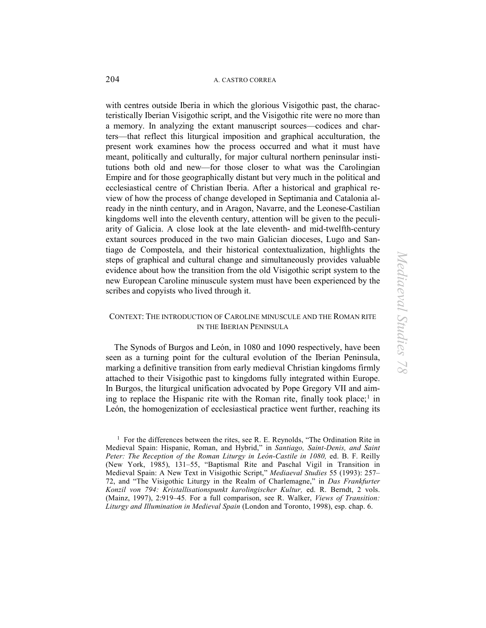with centres outside Iberia in which the glorious Visigothic past, the characteristically Iberian Visigothic script, and the Visigothic rite were no more than a memory. In analyzing the extant manuscript sources—codices and charters—that reflect this liturgical imposition and graphical acculturation, the present work examines how the process occurred and what it must have meant, politically and culturally, for major cultural northern peninsular institutions both old and new—for those closer to what was the Carolingian Empire and for those geographically distant but very much in the political and ecclesiastical centre of Christian Iberia. After a historical and graphical review of how the process of change developed in Septimania and Catalonia already in the ninth century, and in Aragon, Navarre, and the Leonese-Castilian kingdoms well into the eleventh century, attention will be given to the peculiarity of Galicia. A close look at the late eleventh- and mid-twelfth-century extant sources produced in the two main Galician dioceses, Lugo and Santiago de Compostela, and their historical contextualization, highlights the steps of graphical and cultural change and simultaneously provides valuable evidence about how the transition from the old Visigothic script system to the new European Caroline minuscule system must have been experienced by the scribes and copyists who lived through it.

# CONTEXT: THE INTRODUCTION OF CAROLINE MINUSCULE AND THE ROMAN RITE IN THE IBERIAN PENINSULA

The Synods of Burgos and León, in 1080 and 1090 respectively, have been seen as a turning point for the cultural evolution of the Iberian Peninsula, marking a definitive transition from early medieval Christian kingdoms firmly attached to their Visigothic past to kingdoms fully integrated within Europe. In Burgos, the liturgical unification advocated by Pope Gregory VII and aim-ing to replace the Hispanic rite with the Roman rite, finally took place;<sup>[1](#page-1-0)</sup> in León, the homogenization of ecclesiastical practice went further, reaching its

<span id="page-1-0"></span><sup>&</sup>lt;sup>1</sup> For the differences between the rites, see R. E. Reynolds, "The Ordination Rite in Medieval Spain: Hispanic, Roman, and Hybrid," in *Santiago, Saint-Denis, and Saint*  Peter: The Reception of the Roman Liturgy in León-Castile in 1080, ed. B. F. Reilly (New York, 1985), 131–55, "Baptismal Rite and Paschal Vigil in Transition in Medieval Spain: A New Text in Visigothic Script," *Mediaeval Studies* 55 (1993): 257– 72, and "The Visigothic Liturgy in the Realm of Charlemagne," in *Das Frankfurter Konzil von 794: Kristallisationspunkt karolingischer Kultur,* ed. R. Berndt, 2 vols. (Mainz, 1997), 2:919–45*.* For a full comparison, see R. Walker, *Views of Transition: Liturgy and Illumination in Medieval Spain* (London and Toronto, 1998), esp. chap. 6.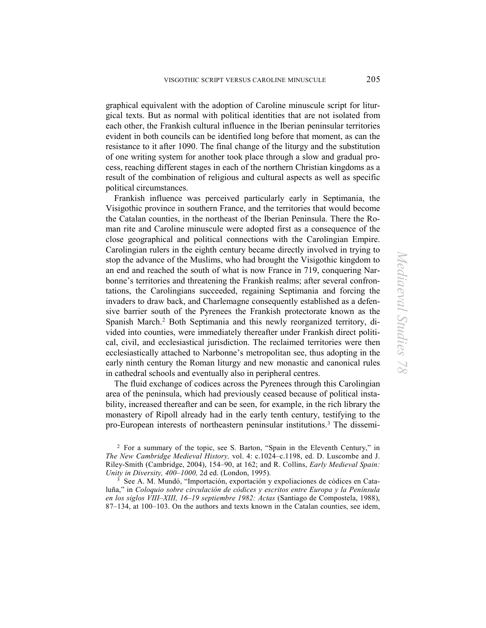graphical equivalent with the adoption of Caroline minuscule script for liturgical texts. But as normal with political identities that are not isolated from each other, the Frankish cultural influence in the Iberian peninsular territories evident in both councils can be identified long before that moment, as can the resistance to it after 1090. The final change of the liturgy and the substitution of one writing system for another took place through a slow and gradual process, reaching different stages in each of the northern Christian kingdoms as a result of the combination of religious and cultural aspects as well as specific political circumstances.

Frankish influence was perceived particularly early in Septimania, the Visigothic province in southern France, and the territories that would become the Catalan counties, in the northeast of the Iberian Peninsula. There the Roman rite and Caroline minuscule were adopted first as a consequence of the close geographical and political connections with the Carolingian Empire. Carolingian rulers in the eighth century became directly involved in trying to stop the advance of the Muslims, who had brought the Visigothic kingdom to an end and reached the south of what is now France in 719, conquering Narbonne's territories and threatening the Frankish realms; after several confrontations, the Carolingians succeeded, regaining Septimania and forcing the invaders to draw back, and Charlemagne consequently established as a defensive barrier south of the Pyrenees the Frankish protectorate known as the Spanish March. [2](#page-2-0) Both Septimania and this newly reorganized territory, divided into counties, were immediately thereafter under Frankish direct political, civil, and ecclesiastical jurisdiction. The reclaimed territories were then ecclesiastically attached to Narbonne's metropolitan see, thus adopting in the early ninth century the Roman liturgy and new monastic and canonical rules in cathedral schools and eventually also in peripheral centres.

The fluid exchange of codices across the Pyrenees through this Carolingian area of the peninsula, which had previously ceased because of political instability, increased thereafter and can be seen, for example, in the rich library the monastery of Ripoll already had in the early tenth century, testifying to the pro-European interests of northeastern peninsular institutions.[3](#page-2-1) The dissemi-

<span id="page-2-0"></span><sup>2</sup> For a summary of the topic, see S. Barton, "Spain in the Eleventh Century," in *The New Cambridge Medieval History,* vol. 4: c.1024–c.1198, ed. D. Luscombe and J. Riley-Smith (Cambridge, 2004), 154–90, at 162; and R. Collins, *Early Medieval Spain: Unity in Diversity, 400–1000,* 2d ed. (London, 1995).

<span id="page-2-1"></span><sup>3</sup> See A. M. Mundó, "Importación, exportación y expoliaciones de códices en Cataluña," in *Coloquio sobre circulación de códices y escritos entre Europa y la Península en los siglos VIII–XIII, 16–19 septiembre 1982: Actas* (Santiago de Compostela, 1988), 87–134, at 100–103. On the authors and texts known in the Catalan counties, see idem,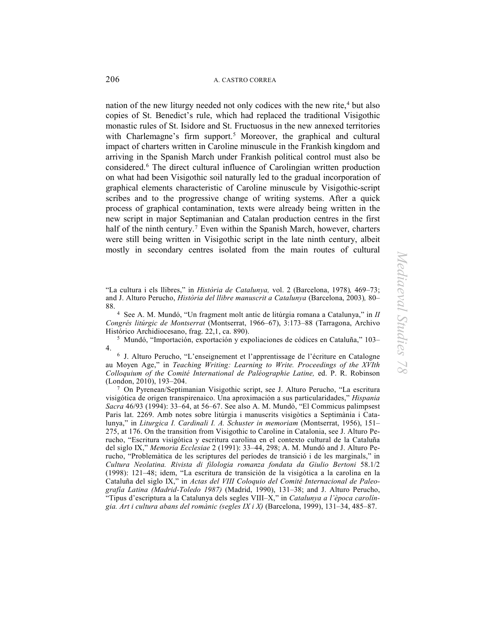nation of the new liturgy needed not only codices with the new rite,<sup>[4](#page-3-0)</sup> but also copies of St. Benedict's rule, which had replaced the traditional Visigothic monastic rules of St. Isidore and St. Fructuosus in the new annexed territories with Charlemagne's firm support.<sup>[5](#page-3-1)</sup> Moreover, the graphical and cultural impact of charters written in Caroline minuscule in the Frankish kingdom and arriving in the Spanish March under Frankish political control must also be considered.[6](#page-3-2) The direct cultural influence of Carolingian written production on what had been Visigothic soil naturally led to the gradual incorporation of graphical elements characteristic of Caroline minuscule by Visigothic-script scribes and to the progressive change of writing systems. After a quick process of graphical contamination, texts were already being written in the new script in major Septimanian and Catalan production centres in the first half of the ninth century.<sup>[7](#page-3-3)</sup> Even within the Spanish March, however, charters were still being written in Visigothic script in the late ninth century, albeit mostly in secondary centres isolated from the main routes of cultural

"La cultura i els llibres," in *Història de Catalunya,* vol. 2 (Barcelona, 1978)*,* 469–73; and J. Alturo Perucho, *Història del llibre manuscrit a Catalunya* (Barcelona, 2003)*,* 80– 88.

<span id="page-3-0"></span>4 See A. M. Mundó, "Un fragment molt antic de litúrgia romana a Catalunya," in *II Congrés litúrgic de Montserrat* (Montserrat, 1966–67), 3:173–88 (Tarragona, Archivo Histórico Archidiocesano, frag. 22,1, ca. 890).

<span id="page-3-1"></span>5 Mundó, "Importación, exportación y expoliaciones de códices en Cataluña," 103–  $4.$ 

<span id="page-3-2"></span> J. Alturo Perucho, "L'enseignement et l'apprentissage de l'écriture en Catalogne au Moyen Age," in *Teaching Writing: Learning to Write. Proceedings of the XVIth Colloquium of the Comité International de Paléographie Latine,* ed. P. R. Robinson (London, 2010), 193–204.

<span id="page-3-3"></span>7 On Pyrenean/Septimanian Visigothic script, see J. Alturo Perucho, "La escritura visigótica de origen transpirenaico. Una aproximación a sus particularidades," *Hispania Sacra* 46/93 (1994): 33–64, at 56–67. See also A. M. Mundó, "El Commicus palimpsest Paris lat. 2269. Amb notes sobre litúrgia i manuscrits visigòtics a Septimània i Catalunya," in *Liturgica I. Cardinali I. A. Schuster in memoriam* (Montserrat, 1956), 151– 275, at 176. On the transition from Visigothic to Caroline in Catalonia, see J. Alturo Perucho, "Escritura visigótica y escritura carolina en el contexto cultural de la Cataluña del siglo IX," *Memoria Ecclesiae* 2 (1991): 33–44, 298; A. M. Mundó and J. Alturo Perucho, "Problemàtica de les scriptures del períodes de transició i de les marginals," in *Cultura Neolatina. Rivista di filologia romanza fondata da Giulio Bertoni* 58.1/2 (1998): 121–48; idem, "La escritura de transición de la visigótica a la carolina en la Cataluña del siglo IX," in *Actas del VIII Coloquio del Comité Internacional de Paleografía Latina (Madrid-Toledo 1987)* (Madrid, 1990), 131–38; and J. Alturo Perucho, "Tipus d'escriptura a la Catalunya dels segles VIII–X," in *Catalunya a l'època carolíngia. Art i cultura abans del romànic (segles IX i X)* (Barcelona, 1999), 131–34, 485–87.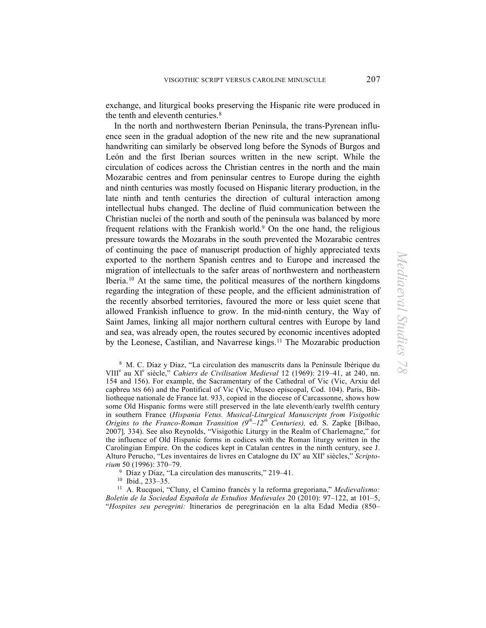exchange, and liturgical books preserving the Hispanic rite were produced in the tenth and eleventh centuries.[8](#page-4-0)

In the north and northwestern Iberian Peninsula, the trans-Pyrenean influence seen in the gradual adoption of the new rite and the new supranational handwriting can similarly be observed long before the Synods of Burgos and León and the first Iberian sources written in the new script. While the circulation of codices across the Christian centres in the north and the main Mozarabic centres and from peninsular centres to Europe during the eighth and ninth centuries was mostly focused on Hispanic literary production, in the late ninth and tenth centuries the direction of cultural interaction among intellectual hubs changed. The decline of fluid communication between the Christian nuclei of the north and south of the peninsula was balanced by more frequent relations with the Frankish world.<sup>[9](#page-4-1)</sup> On the one hand, the religious pressure towards the Mozarabs in the south prevented the Mozarabic centres of continuing the pace of manuscript production of highly appreciated texts exported to the northern Spanish centres and to Europe and increased the migration of intellectuals to the safer areas of northwestern and northeastern Iberia.[10](#page-4-2) At the same time, the political measures of the northern kingdoms regarding the integration of these people, and the efficient administration of the recently absorbed territories, favoured the more or less quiet scene that allowed Frankish influence to grow. In the mid-ninth century, the Way of Saint James, linking all major northern cultural centres with Europe by land and sea, was already open, the routes secured by economic incentives adopted by the Leonese, Castilian, and Navarrese kings.<sup>[11](#page-4-3)</sup> The Mozarabic production

<span id="page-4-0"></span>8 M. C. Díaz y Díaz, "La circulation des manuscrits dans la Penínsule Ibérique du VIII<sup>e</sup> au XIe siècle," *Cahiers de Civilisation Medieval* 12 (1969): 219–41, at 240, nn. 154 and 156). For example, the Sacramentary of the Cathedral of Vic (Vic, Arxiu del capbreu MS 66) and the Pontifical of Vic (Vic, Museo episcopal, Cod. 104). Paris, Bibliotheque nationale de France lat. 933, copied in the diocese of Carcassonne, shows how some Old Hispanic forms were still preserved in the late eleventh/early twelfth century in southern France (*Hispania Vetus. Musical-Liturgical Manuscripts from Visigothic Origins to the Franco-Roman Transition (9th–12th Centuries),* ed. S. Zapke [Bilbao, 2007]*,* 334). See also Reynolds, "Visigothic Liturgy in the Realm of Charlemagne," for the influence of Old Hispanic forms in codices with the Roman liturgy written in the Carolingian Empire*.* On the codices kept in Catalan centres in the ninth century, see J. Alturo Perucho, "Les inventaires de livres en Catalogne du IX<sup>e</sup> au XII<sup>e</sup> siècles," Scripto*rium* 50 (1996): 370–79.

<sup>9</sup> Díaz y Díaz, "La circulation des manuscrits," 219–41.

<span id="page-4-3"></span><span id="page-4-2"></span><span id="page-4-1"></span> Díaz y Díaz, "La circulation des manuscrits," 219–41. 10 Ibid., 233–35. 11 A. Rucquoi, "Cluny, el Camino francés y la reforma gregoriana," *Medievalismo: Boletín de la Sociedad Española de Estudios Medievales* 20 (2010): 97–122, at 101–5, "*Hospites seu peregrini:* Itinerarios de peregrinación en la alta Edad Media (850–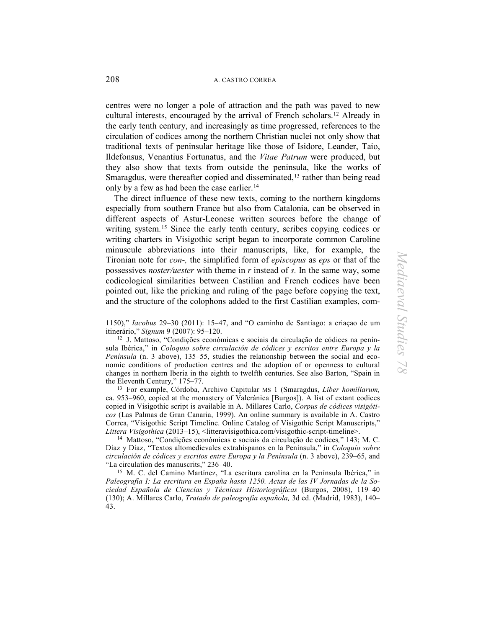centres were no longer a pole of attraction and the path was paved to new cultural interests, encouraged by the arrival of French scholars.[12](#page-5-0) Already in the early tenth century, and increasingly as time progressed, references to the circulation of codices among the northern Christian nuclei not only show that traditional texts of peninsular heritage like those of Isidore, Leander, Taio, Ildefonsus, Venantius Fortunatus, and the *Vitae Patrum* were produced, but they also show that texts from outside the peninsula, like the works of Smaragdus, were thereafter copied and disseminated,<sup>[13](#page-5-1)</sup> rather than being read only by a few as had been the case earlier. [14](#page-5-2)

 The direct influence of these new texts, coming to the northern kingdoms especially from southern France but also from Catalonia, can be observed in different aspects of Astur-Leonese written sources before the change of writing system.<sup>[15](#page-5-3)</sup> Since the early tenth century, scribes copying codices or writing charters in Visigothic script began to incorporate common Caroline minuscule abbreviations into their manuscripts, like, for example, the Tironian note for *con-,* the simplified form of *episcopus* as *eps* or that of the possessives *noster/uester* with theme in *r* instead of *s.* In the same way, some codicological similarities between Castilian and French codices have been pointed out, like the pricking and ruling of the page before copying the text, and the structure of the colophons added to the first Castilian examples, com-

1150)," *Iacobus* 29–30 (2011): 15–47, and "O caminho de Santiago: a criaçao de um itinerário," *Signum* 9 (2007): 95–120.

<span id="page-5-0"></span>12 J. Mattoso, "Condições económicas e sociais da circulação de códices na península Ibérica," in *Coloquio sobre circulación de códices y escritos entre Europa y la Península* (n. 3 above), 135–55, studies the relationship between the social and economic conditions of production centres and the adoption of or openness to cultural changes in northern Iberia in the eighth to twelfth centuries. See also Barton, "Spain in the Eleventh Century," 175–77.

<span id="page-5-1"></span>13 For example, Córdoba, Archivo Capitular MS 1 (Smaragdus, *Liber homiliarum,* ca. 953–960, copied at the monastery of Valeránica [Burgos]). A list of extant codices copied in Visigothic script is available in A. Millares Carlo, *Corpus de códices visigóticos* (Las Palmas de Gran Canaria, 1999). An online summary is available in A. Castro Correa, "Visigothic Script Timeline. Online Catalog of Visigothic Script Manuscripts,"<br>Littera Visigothica (2013–15), <litteravisigothica.com/visigothic-script-timeline>.

<span id="page-5-2"></span><sup>14</sup> Mattoso, "Condições económicas e sociais da circulação de codices," 143; M. C. Díaz y Díaz, "Textos altomedievales extrahispanos en la Península," in *Coloquio sobre circulación de códices y escritos entre Europa y la Península* (n. 3 above), 239–65, and

<span id="page-5-3"></span><sup>15</sup> M. C. del Camino Martínez, "La escritura carolina en la Península Ibérica," in *Paleografía I: La escritura en España hasta 1250. Actas de las IV Jornadas de la Sociedad Española de Ciencias y Técnicas Historiográficas* (Burgos, 2008), 119–40 (130); A. Millares Carlo, *Tratado de paleografía española,* 3d ed. (Madrid, 1983), 140– 43.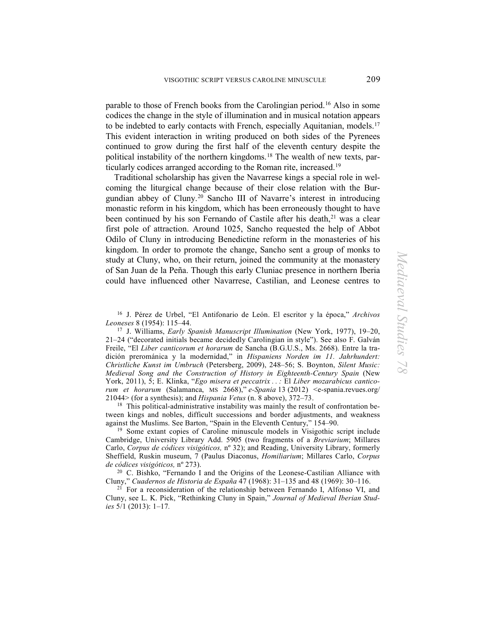parable to those of French books from the Carolingian period.[16](#page-6-0) Also in some codices the change in the style of illumination and in musical notation appears to be indebted to early contacts with French, especially Aquitanian, models.<sup>[17](#page-6-1)</sup> This evident interaction in writing produced on both sides of the Pyrenees continued to grow during the first half of the eleventh century despite the political instability of the northern kingdoms[.18](#page-6-2) The wealth of new texts, particularly codices arranged according to the Roman rite, increased.[19](#page-6-3) 

Traditional scholarship has given the Navarrese kings a special role in welcoming the liturgical change because of their close relation with the Burgundian abbey of Cluny.[20](#page-6-4) Sancho III of Navarre's interest in introducing monastic reform in his kingdom, which has been erroneously thought to have been continued by his son Fernando of Castile after his death,<sup>[21](#page-6-5)</sup> was a clear first pole of attraction. Around 1025, Sancho requested the help of Abbot Odilo of Cluny in introducing Benedictine reform in the monasteries of his kingdom. In order to promote the change, Sancho sent a group of monks to study at Cluny, who, on their return, joined the community at the monastery of San Juan de la Peña. Though this early Cluniac presence in northern Iberia could have influenced other Navarrese, Castilian, and Leonese centres to

<span id="page-6-0"></span>16 J. Pérez de Urbel, "El Antifonario de León. El escritor y la época," *Archivos* 

<span id="page-6-1"></span><sup>17</sup> J. Williams, *Early Spanish Manuscript Illumination* (New York, 1977), 19–20, 21–24 ("decorated initials became decidedly Carolingian in style"). See also F. Galván Freile, "El *Liber canticorum et horarum* de Sancha (B.G.U.S., Ms. 2668). Entre la tradición prerománica y la modernidad," in *Hispaniens Norden im 11. Jahrhundert: Christliche Kunst im Umbruch* (Petersberg, 2009), 248–56; S. Boynton, *Silent Music: Medieval Song and the Construction of History in Eighteenth-Century Spain* (New York, 2011), 5; E. Klinka, "*Ego misera et peccatrix . . :* El *Liber mozarabicus canticorum et horarum* (Salamanca, MS 2668)," *e-Spania* 13 (2012) <e-spania.revues.org/ 21044> (for a synthesis); and *Hispania Vetus* (n. 8 above), 372–73.

<span id="page-6-2"></span><sup>18</sup> This political-administrative instability was mainly the result of confrontation between kings and nobles, difficult successions and border adjustments, and weakness against the Muslims. See Barton, "Spain in the Eleventh Century," 154–90.

<span id="page-6-3"></span>19 Some extant copies of Caroline minuscule models in Visigothic script include Cambridge, University Library Add. 5905 (two fragments of a *Breviarium*; Millares Carlo, *Corpus de códices visigóticos,* nº 32); and Reading, University Library, formerly Sheffield, Ruskin museum, 7 (Paulus Diaconus, *Homiliarium*; Millares Carlo, *Corpus de códices visigóticos,* nº 273).

<span id="page-6-4"></span>20 C. Bishko, "Fernando I and the Origins of the Leonese-Castilian Alliance with Cluny," *Cuadernos de Historia de España* 47 (1968): 31–135 and 48 (1969): 30–116.

<span id="page-6-5"></span> $21$  For a reconsideration of the relationship between Fernando I, Alfonso VI, and Cluny, see L. K. Pick, "Rethinking Cluny in Spain," *Journal of Medieval Iberian Studies* 5/1 (2013): 1–17*.*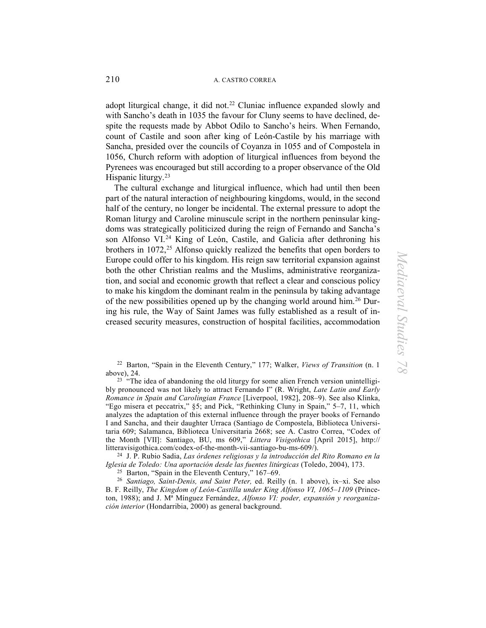adopt liturgical change, it did not.<sup>[22](#page-7-0)</sup> Cluniac influence expanded slowly and with Sancho's death in 1035 the favour for Cluny seems to have declined, despite the requests made by Abbot Odilo to Sancho's heirs. When Fernando, count of Castile and soon after king of León-Castile by his marriage with Sancha, presided over the councils of Coyanza in 1055 and of Compostela in 1056, Church reform with adoption of liturgical influences from beyond the Pyrenees was encouraged but still according to a proper observance of the Old Hispanic liturgy. [23](#page-7-1)

The cultural exchange and liturgical influence, which had until then been part of the natural interaction of neighbouring kingdoms, would, in the second half of the century, no longer be incidental. The external pressure to adopt the Roman liturgy and Caroline minuscule script in the northern peninsular kingdoms was strategically politicized during the reign of Fernando and Sancha's son Alfonso VI.<sup>[24](#page-7-2)</sup> King of León, Castile, and Galicia after dethroning his brothers in 1072,<sup>[25](#page-7-3)</sup> Alfonso quickly realized the benefits that open borders to Europe could offer to his kingdom. His reign saw territorial expansion against both the other Christian realms and the Muslims, administrative reorganization, and social and economic growth that reflect a clear and conscious policy to make his kingdom the dominant realm in the peninsula by taking advantage of the new possibilities opened up by the changing world around him.[26](#page-7-4) During his rule, the Way of Saint James was fully established as a result of increased security measures, construction of hospital facilities, accommodation

22 Barton, "Spain in the Eleventh Century," 177; Walker, *Views of Transition* (n. 1

<span id="page-7-1"></span><span id="page-7-0"></span>above), 24.<br><sup>23</sup> "The idea of abandoning the old liturgy for some alien French version unintelligibly pronounced was not likely to attract Fernando I" (R. Wright, *Late Latin and Early Romance in Spain and Carolingian France* [Liverpool, 1982], 208–9). See also Klinka, "Ego misera et peccatrix," §5; and Pick, "Rethinking Cluny in Spain," 5–7, 11, which analyzes the adaptation of this external influence through the prayer books of Fernando I and Sancha, and their daughter Urraca (Santiago de Compostela, Biblioteca Universitaria 609; Salamanca, Biblioteca Universitaria 2668; see A. Castro Correa, "Codex of the Month [VII]: Santiago, BU, ms 609," *Littera Visigothica* [April 2015], http:// litteravisigothica.com/codex-of-the-month-vii-santiago-bu-ms-609/).

<span id="page-7-2"></span>24 J. P. Rubio Sadia, *Las órdenes religiosas y la introducción del Rito Romano en la Iglesia de Toledo: Una aportación desde las fuentes litúrgicas* (Toledo, 2004), 173.

<span id="page-7-4"></span><span id="page-7-3"></span>25 Barton, "Spain in the Eleventh Century," 167–69. <sup>26</sup>*Santiago, Saint-Denis, and Saint Peter,* ed. Reilly (n. 1 above), ix–xi. See also B. F. Reilly, *The Kingdom of León-Castilla under King Alfonso VI, 1065–1109* (Princeton, 1988); and J. Mª Mínguez Fernández, *Alfonso VI: poder, expansión y reorganización interior* (Hondarribia, 2000) as general background.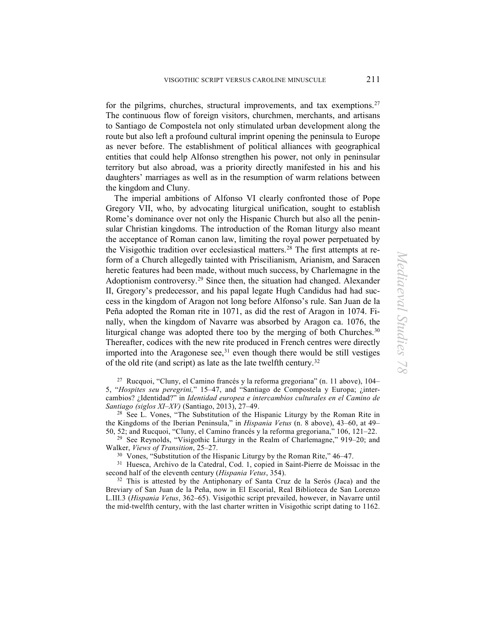for the pilgrims, churches, structural improvements, and tax exemptions.<sup>[27](#page-8-0)</sup> The continuous flow of foreign visitors, churchmen, merchants, and artisans to Santiago de Compostela not only stimulated urban development along the route but also left a profound cultural imprint opening the peninsula to Europe as never before. The establishment of political alliances with geographical entities that could help Alfonso strengthen his power, not only in peninsular territory but also abroad, was a priority directly manifested in his and his daughters' marriages as well as in the resumption of warm relations between the kingdom and Cluny.

The imperial ambitions of Alfonso VI clearly confronted those of Pope Gregory VII, who, by advocating liturgical unification, sought to establish Rome's dominance over not only the Hispanic Church but also all the peninsular Christian kingdoms. The introduction of the Roman liturgy also meant the acceptance of Roman canon law, limiting the royal power perpetuated by the Visigothic tradition over ecclesiastical matters.[28](#page-8-1) The first attempts at reform of a Church allegedly tainted with Priscilianism, Arianism, and Saracen heretic features had been made, without much success, by Charlemagne in the Adoptionism controversy.[29](#page-8-2) Since then, the situation had changed. Alexander II, Gregory's predecessor, and his papal legate Hugh Candidus had had success in the kingdom of Aragon not long before Alfonso's rule. San Juan de la Peña adopted the Roman rite in 1071, as did the rest of Aragon in 1074. Finally, when the kingdom of Navarre was absorbed by Aragon ca. 1076, the liturgical change was adopted there too by the merging of both Churches.<sup>[30](#page-8-3)</sup> Thereafter, codices with the new rite produced in French centres were directly imported into the Aragonese see, $31$  even though there would be still vestiges of the old rite (and script) as late as the late twelfth century.[32](#page-8-5)

<span id="page-8-0"></span>27 Rucquoi, "Cluny, el Camino francés y la reforma gregoriana" (n. 11 above), 104– 5, "*Hospites seu peregrini,*" 15–47, and "Santiago de Compostela y Europa; ¿intercambios? ¿Identidad?" in *Identidad europea e intercambios culturales en el Camino de Santiago (siglos XI*–*XV)* (Santiago, 2013), 27–49.

<span id="page-8-1"></span>28 See L. Vones, "The Substitution of the Hispanic Liturgy by the Roman Rite in the Kingdoms of the Iberian Peninsula," in *Hispania Vetus* (n. 8 above), 43–60, at 49–

<span id="page-8-2"></span>50, 52; and Rucquoi, "Cluny, el Camino francés y la reforma gregoriana," 106, 121–22.<br><sup>29</sup> See Reynolds, "Visigothic Liturgy in the Realm of Charlemagne," 919–20; and Walker, *Views of Transition*, 25–27.

<span id="page-8-4"></span><span id="page-8-3"></span> $30\,$  Vones, "Substitution of the Hispanic Liturgy by the Roman Rite," 46–47.<br><sup>31</sup> Huesca, Archivo de la Catedral, Cod. 1, copied in Saint-Pierre de Moissac in the second half of the eleventh century (*Hispania Vetus*, 354).

<span id="page-8-5"></span><sup>32</sup> This is attested by the Antiphonary of Santa Cruz de la Serós (Jaca) and the Breviary of San Juan de la Peña, now in El Escorial, Real Biblioteca de San Lorenzo L.III.3 (*Hispania Vetus*, 362–65). Visigothic script prevailed, however, in Navarre until the mid-twelfth century, with the last charter written in Visigothic script dating to 1162.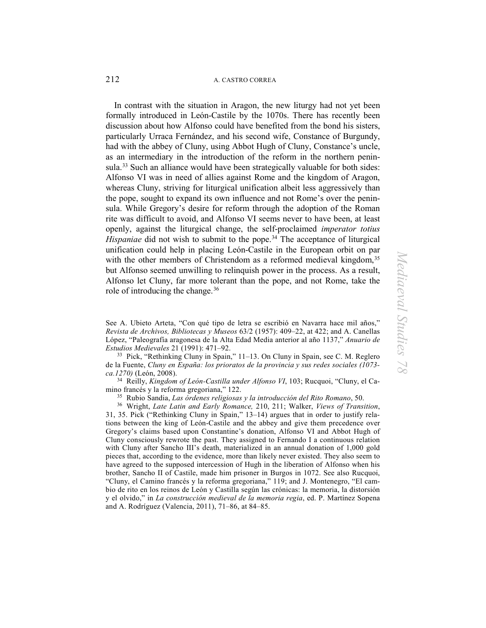In contrast with the situation in Aragon, the new liturgy had not yet been formally introduced in León-Castile by the 1070s. There has recently been discussion about how Alfonso could have benefited from the bond his sisters, particularly Urraca Fernández, and his second wife, Constance of Burgundy, had with the abbey of Cluny, using Abbot Hugh of Cluny, Constance's uncle, as an intermediary in the introduction of the reform in the northern penin-sula.<sup>[33](#page-9-0)</sup> Such an alliance would have been strategically valuable for both sides: Alfonso VI was in need of allies against Rome and the kingdom of Aragon, whereas Cluny, striving for liturgical unification albeit less aggressively than the pope, sought to expand its own influence and not Rome's over the peninsula. While Gregory's desire for reform through the adoption of the Roman rite was difficult to avoid, and Alfonso VI seems never to have been, at least openly, against the liturgical change, the self-proclaimed *imperator totius Hispaniae* did not wish to submit to the pope. [34](#page-9-1) The acceptance of liturgical unification could help in placing León-Castile in the European orbit on par with the other members of Christendom as a reformed medieval kingdom,<sup>[35](#page-9-2)</sup> but Alfonso seemed unwilling to relinquish power in the process. As a result, Alfonso let Cluny, far more tolerant than the pope, and not Rome, take the role of introducing the change.[36](#page-9-3)

<span id="page-9-0"></span>33 Pick, "Rethinking Cluny in Spain," 11–13. On Cluny in Spain, see C. M. Reglero de la Fuente, *Cluny en España: los prioratos de la provincia y sus redes sociales (1073 ca.1270)* (León, 2008).

<span id="page-9-1"></span>34 Reilly, *Kingdom of León-Castilla under Alfonso VI*, 103; Rucquoi, "Cluny, el Camino francés y la reforma gregoriana," 122.<br><sup>35</sup> Rubio Sandia, *Las órdenes religiosas y la introducción del Rito Romano*, 50.

<span id="page-9-3"></span><span id="page-9-2"></span>35 Rubio Sandia, *Las órdenes religiosas y la introducción del Rito Romano*, 50. 36 Wright, *Late Latin and Early Romance,* 210, 211; Walker, *Views of Transition*, 31, 35. Pick ("Rethinking Cluny in Spain," 13–14) argues that in order to justify relations between the king of León-Castile and the abbey and give them precedence over Gregory's claims based upon Constantine's donation, Alfonso VI and Abbot Hugh of Cluny consciously rewrote the past. They assigned to Fernando I a continuous relation with Cluny after Sancho III's death, materialized in an annual donation of 1,000 gold pieces that, according to the evidence, more than likely never existed. They also seem to have agreed to the supposed intercession of Hugh in the liberation of Alfonso when his brother, Sancho II of Castile, made him prisoner in Burgos in 1072. See also Rucquoi, "Cluny, el Camino francés y la reforma gregoriana," 119; and J. Montenegro, "El cambio de rito en los reinos de León y Castilla según las crónicas: la memoria, la distorsión y el olvido," in *La construcción medieval de la memoria regia*, ed. P. Martínez Sopena and A. Rodríguez (Valencia, 2011), 71–86, at 84–85.

See A. Ubieto Arteta, "Con qué tipo de letra se escribió en Navarra hace mil años," *Revista de Archivos, Bibliotecas y Museos* 63/2 (1957): 409–22, at 422; and A. Canellas López, "Paleografía aragonesa de la Alta Edad Media anterior al año 1137," *Anuario de Estudios Medievales* 21 (1991): 471–92.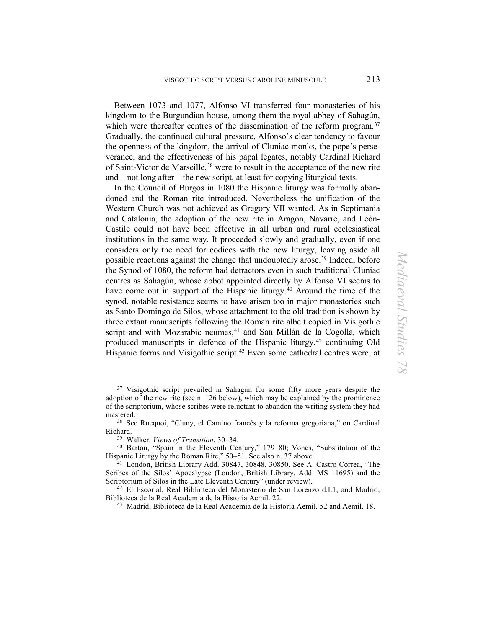Between 1073 and 1077, Alfonso VI transferred four monasteries of his kingdom to the Burgundian house, among them the royal abbey of Sahagún, which were thereafter centres of the dissemination of the reform program.<sup>[37](#page-10-0)</sup> Gradually, the continued cultural pressure, Alfonso's clear tendency to favour the openness of the kingdom, the arrival of Cluniac monks, the pope's perseverance, and the effectiveness of his papal legates, notably Cardinal Richard of Saint-Victor de Marseille, [38](#page-10-1) were to result in the acceptance of the new rite and—not long after—the new script, at least for copying liturgical texts.

In the Council of Burgos in 1080 the Hispanic liturgy was formally abandoned and the Roman rite introduced. Nevertheless the unification of the Western Church was not achieved as Gregory VII wanted. As in Septimania and Catalonia, the adoption of the new rite in Aragon, Navarre, and León-Castile could not have been effective in all urban and rural ecclesiastical institutions in the same way. It proceeded slowly and gradually, even if one considers only the need for codices with the new liturgy, leaving aside all possible reactions against the change that undoubtedly arose.<sup>[39](#page-10-2)</sup> Indeed, before the Synod of 1080, the reform had detractors even in such traditional Cluniac centres as Sahagún, whose abbot appointed directly by Alfonso VI seems to have come out in support of the Hispanic liturgy.<sup>[40](#page-10-3)</sup> Around the time of the synod, notable resistance seems to have arisen too in major monasteries such as Santo Domingo de Silos, whose attachment to the old tradition is shown by three extant manuscripts following the Roman rite albeit copied in Visigothic script and with Mozarabic neumes,<sup>[41](#page-10-4)</sup> and San Millán de la Cogolla, which produced manuscripts in defence of the Hispanic liturgy, [42](#page-10-5) continuing Old Hispanic forms and Visigothic script.<sup>[43](#page-10-6)</sup> Even some cathedral centres were, at

<span id="page-10-0"></span><sup>37</sup> Visigothic script prevailed in Sahagún for some fifty more years despite the adoption of the new rite (see n. 126 below), which may be explained by the prominence of the scriptorium, whose scribes were reluctant to abandon the writing system they had mastered.

<span id="page-10-1"></span>38 See Rucquoi, "Cluny, el Camino francés y la reforma gregoriana," on Cardinal Richard.

<span id="page-10-3"></span><span id="page-10-2"></span>39 Walker, *Views of Transition*, 30–34. 40 Barton, "Spain in the Eleventh Century," 179–80; Vones, "Substitution of the Hispanic Liturgy by the Roman Rite," 50–51. See also n. 37 above.<br><sup>41</sup> London, British Library Add. 30847, 30848, 30850. See A. Castro Correa, "The

<span id="page-10-4"></span>Scribes of the Silos' Apocalypse (London, British Library, Add. MS 11695) and the Scriptorium of Silos in the Late Eleventh Century" (under review).

<span id="page-10-6"></span><span id="page-10-5"></span> $42$  El Escorial, Real Biblioteca del Monasterio de San Lorenzo d.I.1, and Madrid, Biblioteca de la Real Academia de la Historia Aemil. 22.

43 Madrid, Biblioteca de la Real Academia de la Historia Aemil. 52 and Aemil. 18.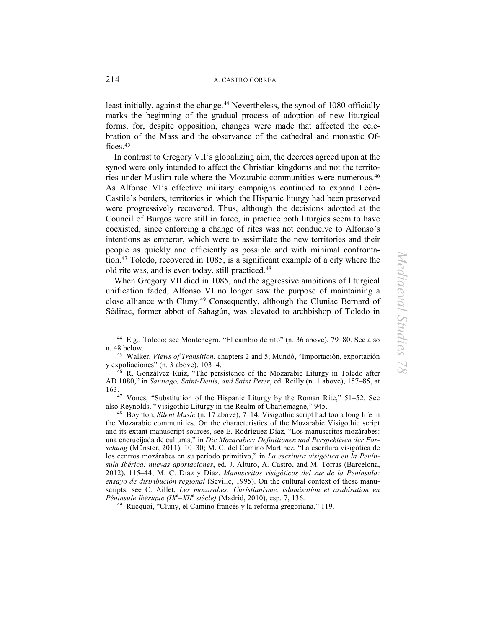least initially, against the change.<sup>44</sup> Nevertheless, the synod of 1080 officially marks the beginning of the gradual process of adoption of new liturgical forms, for, despite opposition, changes were made that affected the celebration of the Mass and the observance of the cathedral and monastic Offices.[45](#page-11-1)

In contrast to Gregory VII's globalizing aim, the decrees agreed upon at the synod were only intended to affect the Christian kingdoms and not the territories under Muslim rule where the Mozarabic communities were numerous.[46](#page-11-2) As Alfonso VI's effective military campaigns continued to expand León-Castile's borders, territories in which the Hispanic liturgy had been preserved were progressively recovered. Thus, although the decisions adopted at the Council of Burgos were still in force, in practice both liturgies seem to have coexisted, since enforcing a change of rites was not conducive to Alfonso's intentions as emperor, which were to assimilate the new territories and their people as quickly and efficiently as possible and with minimal confrontation.[47](#page-11-3) Toledo, recovered in 1085, is a significant example of a city where the old rite was, and is even today, still practiced.<sup>[48](#page-11-4)</sup>

When Gregory VII died in 1085, and the aggressive ambitions of liturgical unification faded, Alfonso VI no longer saw the purpose of maintaining a close alliance with Cluny.<sup>49</sup> Consequently, although the Cluniac Bernard of Sédirac, former abbot of Sahagún, was elevated to archbishop of Toledo in

<span id="page-11-1"></span><sup>45</sup> Walker, *Views of Transition*, chapters 2 and 5; Mundó, "Importación, exportación y expoliaciones" (n. 3 above), 103–4.

<span id="page-11-2"></span>46 R. Gonzálvez Ruiz, "The persistence of the Mozarabic Liturgy in Toledo after AD 1080," in *Santiago, Saint-Denis, and Saint Peter*, ed. Reilly (n. 1 above), 157–85, at 163.

<span id="page-11-3"></span>47 Vones, "Substitution of the Hispanic Liturgy by the Roman Rite," 51–52. See also Reynolds, "Visigothic Liturgy in the Realm of Charlemagne," 945.

<span id="page-11-4"></span>48 Boynton, *Silent Music* (n. 17 above), 7–14*.* Visigothic script had too a long life in the Mozarabic communities. On the characteristics of the Mozarabic Visigothic script and its extant manuscript sources, see E. Rodríguez Díaz, "Los manuscritos mozárabes: una encrucijada de culturas," in *Die Mozaraber: Definitionen und Perspektiven der Forschung* (Münster, 2011), 10–30; M. C. del Camino Martínez, "La escritura visigótica de los centros mozárabes en su período primitivo," in *La escritura visigótica en la Península Ibérica: nuevas aportaciones*, ed. J. Alturo, A. Castro, and M. Torras (Barcelona, 2012), 115–44; M. C. Díaz y Díaz, *Manuscritos visigóticos del sur de la Península: ensayo de distribución regional* (Seville, 1995). On the cultural context of these manuscripts, see C. Aillet, *Les mozarabes: Christianisme, islamisation et arabisation en Péninsule Ibérique (IX<sup>e</sup>* –*XII<sup>e</sup> siècle)* (Madrid, 2010), esp. 7, 136.

<span id="page-11-5"></span>49 Rucquoi, "Cluny, el Camino francés y la reforma gregoriana," 119.

<span id="page-11-0"></span><sup>44</sup> E.g., Toledo; see Montenegro, "El cambio de rito" (n. 36 above), 79–80. See also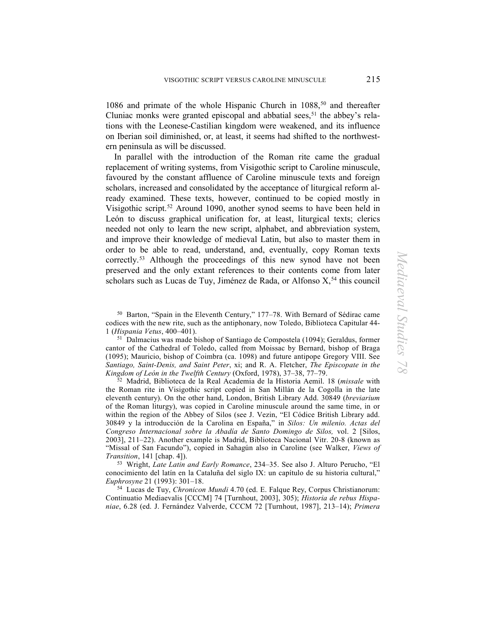1086 and primate of the whole Hispanic Church in 1088,<sup>[50](#page-12-0)</sup> and thereafter Cluniac monks were granted episcopal and abbatial sees,  $51$  the abbey's relations with the Leonese-Castilian kingdom were weakened, and its influence on Iberian soil diminished, or, at least, it seems had shifted to the northwestern peninsula as will be discussed.

In parallel with the introduction of the Roman rite came the gradual replacement of writing systems, from Visigothic script to Caroline minuscule, favoured by the constant affluence of Caroline minuscule texts and foreign scholars, increased and consolidated by the acceptance of liturgical reform already examined. These texts, however, continued to be copied mostly in Visigothic script.[52](#page-12-2) Around 1090, another synod seems to have been held in León to discuss graphical unification for, at least, liturgical texts; clerics needed not only to learn the new script, alphabet, and abbreviation system, and improve their knowledge of medieval Latin, but also to master them in order to be able to read, understand, and, eventually, copy Roman texts correctly.<sup>[53](#page-12-3)</sup> Although the proceedings of this new synod have not been preserved and the only extant references to their contents come from later scholars such as Lucas de Tuy, Jiménez de Rada, or Alfonso X,<sup>[54](#page-12-4)</sup> this council

<span id="page-12-1"></span><sup>51</sup> Dalmacius was made bishop of Santiago de Compostela (1094); Geraldus, former cantor of the Cathedral of Toledo, called from Moissac by Bernard, bishop of Braga (1095); Mauricio, bishop of Coimbra (ca. 1098) and future antipope Gregory VIII. See *Santiago, Saint-Denis, and Saint Peter*, xi; and R. A. Fletcher, *The Episcopate in the Kingdom of León in the Twelfth Century* (Oxford, 1978), 37–38, 77–79.

<span id="page-12-2"></span>52 Madrid, Biblioteca de la Real Academia de la Historia Aemil. 18 (*missale* with the Roman rite in Visigothic script copied in San Millán de la Cogolla in the late eleventh century). On the other hand, London, British Library Add. 30849 (*breviarium*  of the Roman liturgy), was copied in Caroline minuscule around the same time, in or within the region of the Abbey of Silos (see J. Vezin, "El Códice British Library add. 30849 y la introducción de la Carolina en España," in *Silos: Un milenio. Actas del Congreso Internacional sobre la Abadía de Santo Domingo de Silos,* vol. 2 [Silos, 2003], 211–22). Another example is Madrid, Biblioteca Nacional Vitr. 20-8 (known as "Missal of San Facundo"), copied in Sahagún also in Caroline (see Walker, *Views of Transition*, 141 [chap. 4]).

<span id="page-12-3"></span>53 Wright, *Late Latin and Early Romance*, 234–35. See also J. Alturo Perucho, "El conocimiento del latín en la Cataluña del siglo IX: un capítulo de su historia cultural," *Euphrosyne* 21 (1993): 301–18.

<span id="page-12-4"></span>54 Lucas de Tuy, *Chronicon Mundi* 4.70 (ed. E. Falque Rey, Corpus Christianorum: Continuatio Mediaevalis [CCCM] 74 [Turnhout, 2003], 305); *Historia de rebus Hispaniae*, 6.28 (ed. J. Fernández Valverde, CCCM 72 [Turnhout, 1987], 213–14); *Primera* 

<span id="page-12-0"></span><sup>50</sup> Barton, "Spain in the Eleventh Century," 177–78. With Bernard of Sédirac came codices with the new rite, such as the antiphonary, now Toledo, Biblioteca Capitular 44-1 (Hispania Vetus, 400-401).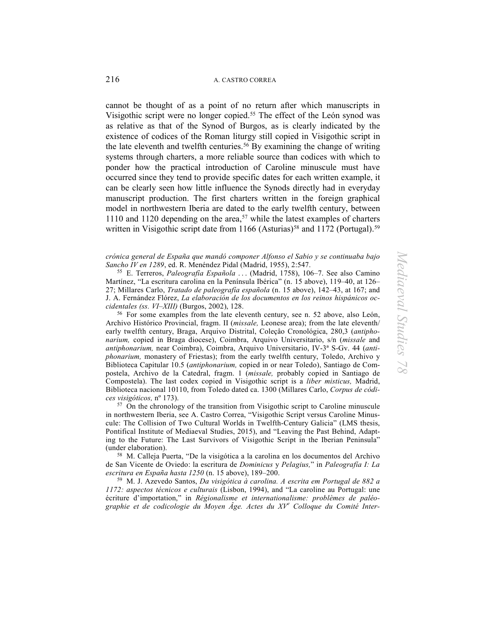cannot be thought of as a point of no return after which manuscripts in Visigothic script were no longer copied. [55](#page-13-0) The effect of the León synod was as relative as that of the Synod of Burgos, as is clearly indicated by the existence of codices of the Roman liturgy still copied in Visigothic script in the late eleventh and twelfth centuries.<sup>[56](#page-13-1)</sup> By examining the change of writing systems through charters, a more reliable source than codices with which to ponder how the practical introduction of Caroline minuscule must have occurred since they tend to provide specific dates for each written example, it can be clearly seen how little influence the Synods directly had in everyday manuscript production. The first charters written in the foreign graphical model in northwestern Iberia are dated to the early twelfth century, between 1110 and 1120 depending on the area,<sup>[57](#page-13-2)</sup> while the latest examples of charters written in Visigothic script date from  $1166$  (Asturias)<sup>[58](#page-13-3)</sup> and  $1172$  (Portugal).<sup>[59](#page-13-4)</sup>

#### *crónica general de España que mandó componer Alfonso el Sabio y se continuaba bajo Sancho IV en 1289*, ed. R. Menéndez Pidal (Madrid, 1955), 2:547.

<span id="page-13-0"></span>55 E. Terreros, *Paleografía Española* . . . (Madrid, 1758), 106–7. See also Camino Martínez, "La escritura carolina en la Península Ibérica" (n. 15 above), 119–40, at 126– 27; Millares Carlo, *Tratado de paleografía española* (n. 15 above), 142–43, at 167; and J. A. Fernández Flórez, *La elaboración de los documentos en los reinos hispánicos occidentales (ss. VI*–*XIII)* (Burgos, 2002), 128.

<span id="page-13-1"></span>56 For some examples from the late eleventh century, see n. 52 above, also León, Archivo Histórico Provincial, fragm. II (*missale,* Leonese area); from the late eleventh/ early twelfth century, Braga, Arquivo Distrital, Coleçâo Cronológica, 280,3 (*antiphonarium,* copied in Braga diocese), Coimbra, Arquivo Universitario, s/n (*missale* and *antiphonarium,* near Coimbra), Coimbra, Arquivo Universitario, IV-3ª S-Gv. 44 (*antiphonarium,* monastery of Friestas); from the early twelfth century, Toledo, Archivo y Biblioteca Capitular 10.5 (*antiphonarium,* copied in or near Toledo), Santiago de Compostela, Archivo de la Catedral, fragm. 1 (*missale,* probably copied in Santiago de Compostela). The last codex copied in Visigothic script is a *liber misticus,* Madrid, Biblioteca nacional 10110, from Toledo dated ca. 1300 (Millares Carlo, *Corpus de códices visigóticos,* nº 173).

<span id="page-13-2"></span><sup>57</sup> On the chronology of the transition from Visigothic script to Caroline minuscule in northwestern Iberia, see A. Castro Correa, "Visigothic Script versus Caroline Minuscule: The Collision of Two Cultural Worlds in Twelfth-Century Galicia" (LMS thesis, Pontifical Institute of Mediaeval Studies, 2015), and "Leaving the Past Behind, Adapting to the Future: The Last Survivors of Visigothic Script in the Iberian Peninsula" (under elaboration).

<span id="page-13-3"></span>58 M. Calleja Puerta, "De la visigótica a la carolina en los documentos del Archivo de San Vicente de Oviedo: la escritura de *Dominicus* y *Pelagius,*" in *Paleografía I: La escritura en España hasta 1250* (n. 15 above), 189–200.

<span id="page-13-4"></span>59 M. J. Azevedo Santos, *Da visigótica à carolina. A escrita em Portugal de 882 a 1172: aspectos técnicos e culturais* (Lisbon, 1994), and "La caroline au Portugal: une écriture d'importation," in *Régionalisme et internationalisme: problèmes de paléographie et de codicologie du Moyen Âge. Actes du XV<sup>e</sup> Colloque du Comité Inter-*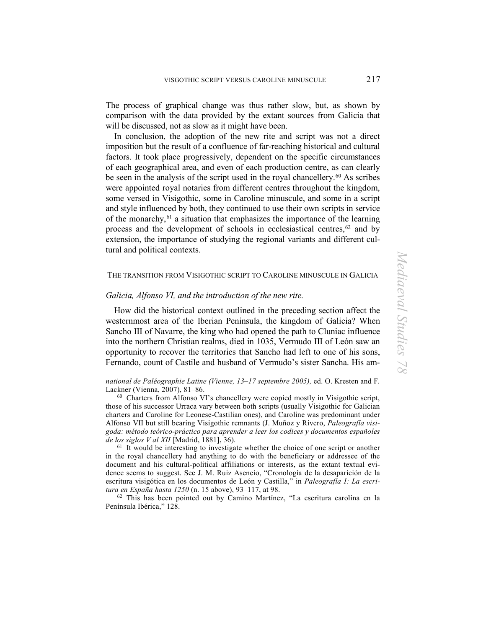The process of graphical change was thus rather slow, but, as shown by comparison with the data provided by the extant sources from Galicia that will be discussed, not as slow as it might have been.

In conclusion, the adoption of the new rite and script was not a direct imposition but the result of a confluence of far-reaching historical and cultural factors. It took place progressively, dependent on the specific circumstances of each geographical area, and even of each production centre, as can clearly be seen in the analysis of the script used in the royal chancellery.<sup>[60](#page-14-0)</sup> As scribes were appointed royal notaries from different centres throughout the kingdom, some versed in Visigothic, some in Caroline minuscule, and some in a script and style influenced by both, they continued to use their own scripts in service of the monarchy,  $61$  a situation that emphasizes the importance of the learning process and the development of schools in ecclesiastical centres, [62](#page-14-2) and by extension, the importance of studying the regional variants and different cultural and political contexts.

## THE TRANSITION FROM VISIGOTHIC SCRIPT TO CAROLINE MINUSCULE IN GALICIA

## *Galicia, Alfonso VI, and the introduction of the new rite.*

How did the historical context outlined in the preceding section affect the westernmost area of the Iberian Peninsula, the kingdom of Galicia? When Sancho III of Navarre, the king who had opened the path to Cluniac influence into the northern Christian realms, died in 1035, Vermudo III of León saw an opportunity to recover the territories that Sancho had left to one of his sons, Fernando, count of Castile and husband of Vermudo's sister Sancha. His am-

#### *national de Paléographie Latine (Vienne, 13–17 septembre 2005),* ed. O. Kresten and F. Lackner (Vienna, 2007), 81–86.

<span id="page-14-0"></span>60 Charters from Alfonso VI's chancellery were copied mostly in Visigothic script, those of his successor Urraca vary between both scripts (usually Visigothic for Galician charters and Caroline for Leonese-Castilian ones), and Caroline was predominant under Alfonso VII but still bearing Visigothic remnants (J. Muñoz y Rivero, *Paleografía visigoda: método teórico-práctico para aprender a leer los codices y documentos españoles de los siglos V al XII* [Madrid, 1881], 36).

<span id="page-14-1"></span><sup>61</sup> It would be interesting to investigate whether the choice of one script or another in the royal chancellery had anything to do with the beneficiary or addressee of the document and his cultural-political affiliations or interests, as the extant textual evidence seems to suggest. See J. M. Ruiz Asencio, "Cronología de la desaparición de la escritura visigótica en los documentos de León y Castilla," in *Paleografía I: La escritura en España hasta 1250* (n. 15 above), 93–117, at 98.

<span id="page-14-2"></span>62 This has been pointed out by Camino Martínez, "La escritura carolina en la Península Ibérica," 128.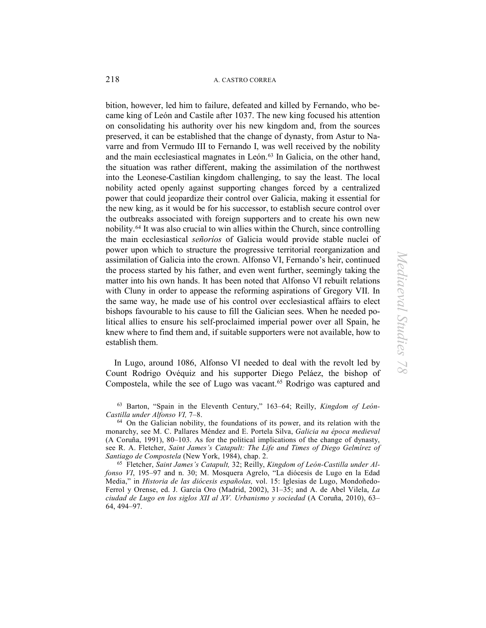bition, however, led him to failure, defeated and killed by Fernando, who became king of León and Castile after 1037. The new king focused his attention on consolidating his authority over his new kingdom and, from the sources preserved, it can be established that the change of dynasty, from Astur to Navarre and from Vermudo III to Fernando I, was well received by the nobility and the main ecclesiastical magnates in León. [63](#page-15-0) In Galicia, on the other hand, the situation was rather different, making the assimilation of the northwest into the Leonese-Castilian kingdom challenging, to say the least. The local nobility acted openly against supporting changes forced by a centralized power that could jeopardize their control over Galicia, making it essential for the new king, as it would be for his successor, to establish secure control over the outbreaks associated with foreign supporters and to create his own new nobility.[64](#page-15-1) It was also crucial to win allies within the Church, since controlling the main ecclesiastical *señoríos* of Galicia would provide stable nuclei of power upon which to structure the progressive territorial reorganization and assimilation of Galicia into the crown. Alfonso VI, Fernando's heir, continued the process started by his father, and even went further, seemingly taking the matter into his own hands. It has been noted that Alfonso VI rebuilt relations with Cluny in order to appease the reforming aspirations of Gregory VII. In the same way, he made use of his control over ecclesiastical affairs to elect bishops favourable to his cause to fill the Galician sees. When he needed political allies to ensure his self-proclaimed imperial power over all Spain, he knew where to find them and, if suitable supporters were not available, how to establish them.

In Lugo, around 1086, Alfonso VI needed to deal with the revolt led by Count Rodrigo Ovéquiz and his supporter Diego Peláez, the bishop of Compostela, while the see of Lugo was vacant.<sup>[65](#page-15-2)</sup> Rodrigo was captured and

<span id="page-15-0"></span>63 Barton, "Spain in the Eleventh Century," 163–64; Reilly, *Kingdom of León-Castilla under Alfonso VI,* 7–8.

<span id="page-15-1"></span>64 On the Galician nobility, the foundations of its power, and its relation with the monarchy, see M. C. Pallares Méndez and E. Portela Silva, *Galicia na época medieval*  (A Coruña, 1991), 80–103. As for the political implications of the change of dynasty, see R. A. Fletcher, *Saint James's Catapult: The Life and Times of Diego Gelmírez of Santiago de Compostela* (New York, 1984), chap. 2.

<span id="page-15-2"></span>65 Fletcher, *Saint James's Catapult,* 32; Reilly, *Kingdom of León-Castilla under Alfonso VI*, 195–97 and n. 30; M. Mosquera Agrelo, "La diócesis de Lugo en la Edad Media," in *Historia de las diócesis españolas,* vol. 15: Iglesias de Lugo, Mondoñedo-Ferrol y Orense, ed. J. García Oro (Madrid, 2002), 31–35; and A. de Abel Vilela, *La ciudad de Lugo en los siglos XII al XV. Urbanismo y sociedad* (A Coruña, 2010), 63– 64, 494–97.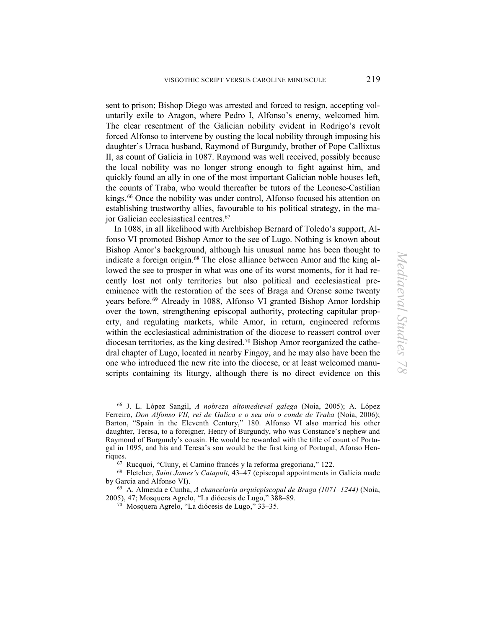sent to prison; Bishop Diego was arrested and forced to resign, accepting voluntarily exile to Aragon, where Pedro I, Alfonso's enemy, welcomed him. The clear resentment of the Galician nobility evident in Rodrigo's revolt forced Alfonso to intervene by ousting the local nobility through imposing his daughter's Urraca husband, Raymond of Burgundy, brother of Pope Callixtus II, as count of Galicia in 1087. Raymond was well received, possibly because the local nobility was no longer strong enough to fight against him, and quickly found an ally in one of the most important Galician noble houses left, the counts of Traba, who would thereafter be tutors of the Leonese-Castilian kings.<sup>[66](#page-16-0)</sup> Once the nobility was under control, Alfonso focused his attention on establishing trustworthy allies, favourable to his political strategy, in the major Galician ecclesiastical centres[.67](#page-16-1)

 In 1088, in all likelihood with Archbishop Bernard of Toledo's support, Alfonso VI promoted Bishop Amor to the see of Lugo. Nothing is known about Bishop Amor's background, although his unusual name has been thought to indicate a foreign origin.<sup>68</sup> The close alliance between Amor and the king allowed the see to prosper in what was one of its worst moments, for it had recently lost not only territories but also political and ecclesiastical preeminence with the restoration of the sees of Braga and Orense some twenty years before.<sup>[69](#page-16-3)</sup> Already in 1088, Alfonso VI granted Bishop Amor lordship over the town, strengthening episcopal authority, protecting capitular property, and regulating markets, while Amor, in return, engineered reforms within the ecclesiastical administration of the diocese to reassert control over diocesan territories, as the king desired.[70](#page-16-4) Bishop Amor reorganized the cathedral chapter of Lugo, located in nearby Fingoy, and he may also have been the one who introduced the new rite into the diocese, or at least welcomed manuscripts containing its liturgy, although there is no direct evidence on this

<span id="page-16-0"></span>66 J. L. López Sangil, *A nobreza altomedieval galega* (Noia, 2005); A. López Ferreiro, *Don Alfonso VII, rei de Galica e o seu aio o conde de Traba* (Noia, 2006); Barton, "Spain in the Eleventh Century," 180. Alfonso VI also married his other daughter, Teresa, to a foreigner, Henry of Burgundy, who was Constance's nephew and Raymond of Burgundy's cousin. He would be rewarded with the title of count of Portugal in 1095, and his and Teresa's son would be the first king of Portugal, Afonso Hen-

<span id="page-16-2"></span><span id="page-16-1"></span>riques. 67 Rucquoi, "Cluny, el Camino francés y la reforma gregoriana," 122. 68 Fletcher, *Saint James's Catapult,* 43–47 (episcopal appointments in Galicia made by García and Alfonso VI).

<span id="page-16-4"></span><span id="page-16-3"></span>69 A. Almeida e Cunha, *A chancelaria arquiepiscopal de Braga (1071–1244)* (Noia, 2005), 47; Mosquera Agrelo, "La diócesis de Lugo," 388–89.

 $70^{6}$  Mosquera Agrelo, "La diócesis de Lugo,"  $33-35$ .

*Mediaeval Studies 78*Mediaeval Studies 78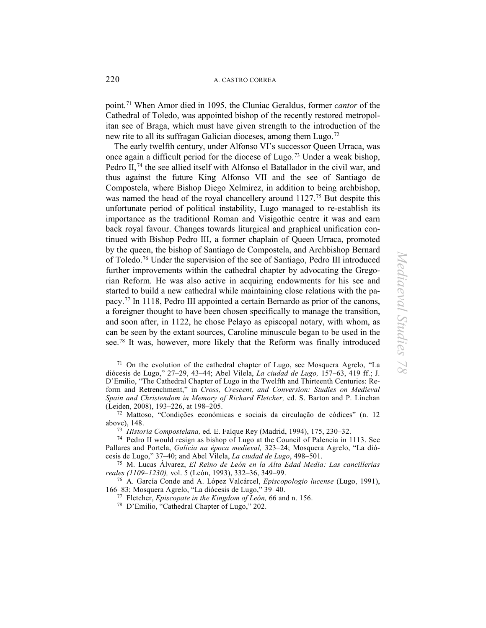point.[71](#page-17-0) When Amor died in 1095, the Cluniac Geraldus, former *cantor* of the Cathedral of Toledo, was appointed bishop of the recently restored metropolitan see of Braga, which must have given strength to the introduction of the new rite to all its suffragan Galician dioceses, among them Lugo.[72](#page-17-1)

The early twelfth century, under Alfonso VI's successor Queen Urraca, was once again a difficult period for the diocese of Lugo.[73](#page-17-2) Under a weak bishop, Pedro II,<sup>[74](#page-17-3)</sup> the see allied itself with Alfonso el Batallador in the civil war, and thus against the future King Alfonso VII and the see of Santiago de Compostela, where Bishop Diego Xelmírez, in addition to being archbishop, was named the head of the royal chancellery around 1127.<sup>[75](#page-17-4)</sup> But despite this unfortunate period of political instability, Lugo managed to re-establish its importance as the traditional Roman and Visigothic centre it was and earn back royal favour. Changes towards liturgical and graphical unification continued with Bishop Pedro III, a former chaplain of Queen Urraca, promoted by the queen, the bishop of Santiago de Compostela, and Archbishop Bernard of Toledo.[76](#page-17-5) Under the supervision of the see of Santiago, Pedro III introduced further improvements within the cathedral chapter by advocating the Gregorian Reform. He was also active in acquiring endowments for his see and started to build a new cathedral while maintaining close relations with the papacy.[77](#page-17-6) In 1118, Pedro III appointed a certain Bernardo as prior of the canons, a foreigner thought to have been chosen specifically to manage the transition, and soon after, in 1122, he chose Pelayo as episcopal notary, with whom, as can be seen by the extant sources, Caroline minuscule began to be used in the see[.78](#page-17-7) It was, however, more likely that the Reform was finally introduced

<span id="page-17-0"></span><sup>71</sup> On the evolution of the cathedral chapter of Lugo, see Mosquera Agrelo, "La diócesis de Lugo," 27–29, 43–44; Abel Vilela, *La ciudad de Lugo,* 157–63, 419 ff.; J. D'Emilio, "The Cathedral Chapter of Lugo in the Twelfth and Thirteenth Centuries: Reform and Retrenchment," in *Cross, Crescent, and Conversion: Studies on Medieval Spain and Christendom in Memory of Richard Fletcher,* ed. S. Barton and P. Linehan

<span id="page-17-1"></span><sup>72</sup> Mattoso, "Condições económicas e sociais da circulação de códices" (n. 12 above), 148.<br> $^{73}$  Historia Compostelana, ed. E. Falque Rev (Madrid, 1994), 175, 230–32.

<span id="page-17-3"></span><span id="page-17-2"></span><sup>74</sup> Pedro II would resign as bishop of Lugo at the Council of Palencia in 1113. See Pallares and Portela, *Galicia na época medieval,* 323–24; Mosquera Agrelo, "La diócesis de Lugo," 37–40; and Abel Vilela, *La ciudad de Lugo*, 498–501.

<span id="page-17-4"></span>75 M. Lucas Álvarez, *El Reino de León en la Alta Edad Media: Las cancillerías reales (1109–1230),* vol. 5 (León, 1993), 332–36, 349–99.

<span id="page-17-7"></span><span id="page-17-6"></span><span id="page-17-5"></span>76 A. García Conde and A. López Valcárcel, *Episcopologio lucense* (Lugo, 1991), 166–83; Mosquera Agrelo, "La diócesis de Lugo," 39–40.

77 Fletcher, *Episcopate in the Kingdom of León,* 66 and n. 156. 78 D'Emilio, "Cathedral Chapter of Lugo," 202.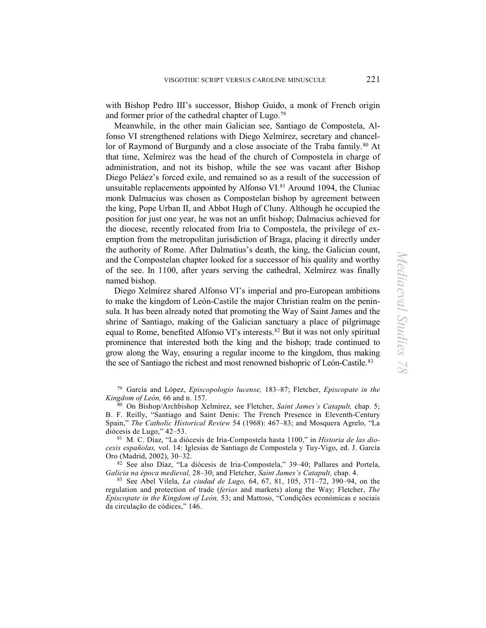with Bishop Pedro III's successor, Bishop Guido, a monk of French origin and former prior of the cathedral chapter of Lugo.[79](#page-18-0)

Meanwhile, in the other main Galician see, Santiago de Compostela, Alfonso VI strengthened relations with Diego Xelmírez, secretary and chancel-lor of Raymond of Burgundy and a close associate of the Traba family.<sup>[80](#page-18-1)</sup> At that time, Xelmírez was the head of the church of Compostela in charge of administration, and not its bishop, while the see was vacant after Bishop Diego Peláez's forced exile, and remained so as a result of the succession of unsuitable replacements appointed by Alfonso VI. [81](#page-18-2) Around 1094, the Cluniac monk Dalmacius was chosen as Compostelan bishop by agreement between the king, Pope Urban II, and Abbot Hugh of Cluny. Although he occupied the position for just one year, he was not an unfit bishop; Dalmacius achieved for the diocese, recently relocated from Iria to Compostela, the privilege of exemption from the metropolitan jurisdiction of Braga, placing it directly under the authority of Rome. After Dalmatius's death, the king, the Galician count, and the Compostelan chapter looked for a successor of his quality and worthy of the see. In 1100, after years serving the cathedral, Xelmírez was finally named bishop.

Diego Xelmírez shared Alfonso VI's imperial and pro-European ambitions to make the kingdom of León-Castile the major Christian realm on the peninsula. It has been already noted that promoting the Way of Saint James and the shrine of Santiago, making of the Galician sanctuary a place of pilgrimage equal to Rome, benefited Alfonso VI's interests.[82](#page-18-3) But it was not only spiritual prominence that interested both the king and the bishop; trade continued to grow along the Way, ensuring a regular income to the kingdom, thus making the see of Santiago the richest and most renowned bishopric of León-Castile. [83](#page-18-4) 

<span id="page-18-0"></span>79 García and López, *Episcopologio lucense,* 183–87; Fletcher, *Episcopate in the Kingdom of León,* 66 and n. 157.

<span id="page-18-1"></span>80 On Bishop/Archbishop Xelmírez, see Fletcher, *Saint James's Catapult,* chap. 5; B. F. Reilly, "Santiago and Saint Denis: The French Presence in Eleventh-Century Spain," *The Catholic Historical Review* 54 (1968): 467–83; and Mosquera Agrelo, "La diócesis de Lugo," 42–53.

<span id="page-18-2"></span>81 M. C. Díaz, "La diócesis de Iria-Compostela hasta 1100," in *Historia de las diocesis españolas,* vol. 14: Iglesias de Santiago de Compostela y Tuy-Vigo, ed. J. García Oro (Madrid, 2002), 30–32.

<span id="page-18-3"></span>82 See also Díaz, "La diócesis de Iria-Compostela," 39–40; Pallares and Portela, *Galicia na época medieval,* 28–30; and Fletcher, *Saint James's Catapult,* chap. 4.

<span id="page-18-4"></span>83 See Abel Vilela, *La ciudad de Lugo,* 64, 67, 81, 105, 371–72, 390–94, on the regulation and protection of trade (*ferias* and markets) along the Way; Fletcher, *The Episcopate in the Kingdom of León,* 53; and Mattoso, "Condições económicas e sociais da circulação de códices," 146.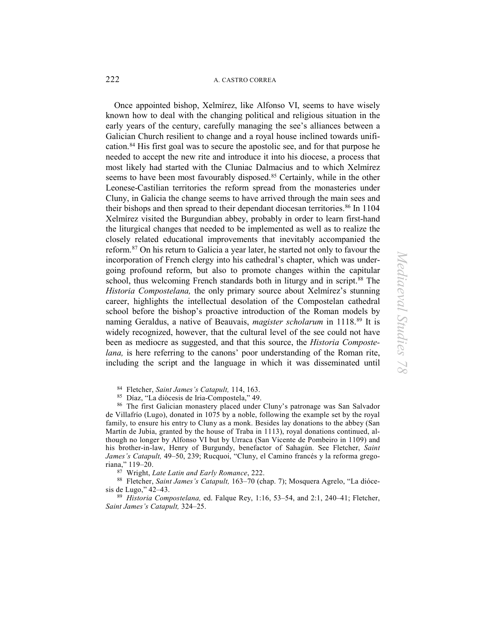Once appointed bishop, Xelmírez, like Alfonso VI, seems to have wisely known how to deal with the changing political and religious situation in the early years of the century, carefully managing the see's alliances between a Galician Church resilient to change and a royal house inclined towards unification.[84](#page-19-0) His first goal was to secure the apostolic see, and for that purpose he needed to accept the new rite and introduce it into his diocese, a process that most likely had started with the Cluniac Dalmacius and to which Xelmírez seems to have been most favourably disposed.<sup>[85](#page-19-1)</sup> Certainly, while in the other Leonese-Castilian territories the reform spread from the monasteries under Cluny, in Galicia the change seems to have arrived through the main sees and their bishops and then spread to their dependant diocesan territories.<sup>[86](#page-19-2)</sup> In 1104 Xelmírez visited the Burgundian abbey, probably in order to learn first-hand the liturgical changes that needed to be implemented as well as to realize the closely related educational improvements that inevitably accompanied the reform.[87](#page-19-3) On his return to Galicia a year later, he started not only to favour the incorporation of French clergy into his cathedral's chapter, which was undergoing profound reform, but also to promote changes within the capitular school, thus welcoming French standards both in liturgy and in script.<sup>[88](#page-19-4)</sup> The *Historia Compostelana,* the only primary source about Xelmírez's stunning career, highlights the intellectual desolation of the Compostelan cathedral school before the bishop's proactive introduction of the Roman models by naming Geraldus, a native of Beauvais, *magister scholarum* in 1118[.89](#page-19-5) It is widely recognized, however, that the cultural level of the see could not have been as mediocre as suggested, and that this source, the *Historia Compostelana,* is here referring to the canons' poor understanding of the Roman rite, including the script and the language in which it was disseminated until

<span id="page-19-2"></span><span id="page-19-1"></span><span id="page-19-0"></span><sup>84</sup> Fletcher, *Saint James's Catapult*, 114, 163.<br><sup>85</sup> Díaz, "La diócesis de Iria-Compostela," 49.<br><sup>86</sup> The first Galician monastery placed under Cluny's patronage was San Salvador de Villafrío (Lugo), donated in 1075 by a noble, following the example set by the royal family, to ensure his entry to Cluny as a monk. Besides lay donations to the abbey (San Martín de Jubia, granted by the house of Traba in 1113), royal donations continued, although no longer by Alfonso VI but by Urraca (San Vicente de Pombeiro in 1109) and his brother-in-law, Henry of Burgundy, benefactor of Sahagún. See Fletcher, *Saint James's Catapult,* 49–50, 239; Rucquoi, "Cluny, el Camino francés y la reforma gregoriana," 119–20.<br><sup>87</sup> Wright, *Late Latin and Early Romance*, 222.

<span id="page-19-4"></span><span id="page-19-3"></span><sup>88</sup> Fletcher, *Saint James's Catapult, 163–70* (chap. 7); Mosquera Agrelo, "La diócesis de Lugo," 42–43.

<span id="page-19-5"></span>89 *Historia Compostelana,* ed. Falque Rey, 1:16, 53–54, and 2:1, 240–41; Fletcher, *Saint James's Catapult,* 324–25.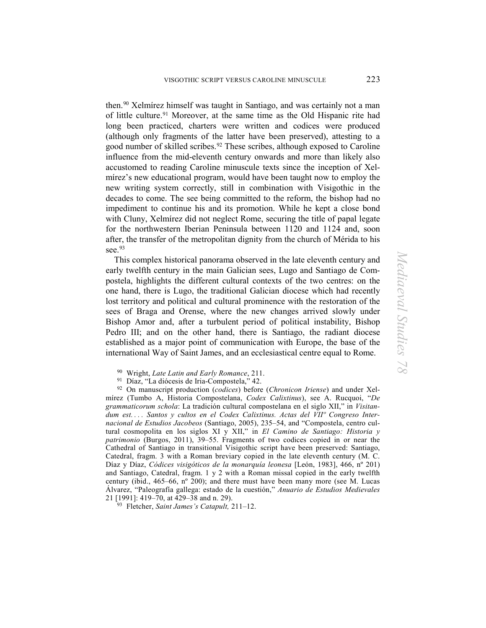then[.90](#page-20-0) Xelmírez himself was taught in Santiago, and was certainly not a man of little culture.[91](#page-20-1) Moreover, at the same time as the Old Hispanic rite had long been practiced, charters were written and codices were produced (although only fragments of the latter have been preserved), attesting to a good number of skilled scribes. [92](#page-20-2) These scribes, although exposed to Caroline influence from the mid-eleventh century onwards and more than likely also accustomed to reading Caroline minuscule texts since the inception of Xelmírez's new educational program, would have been taught now to employ the new writing system correctly, still in combination with Visigothic in the decades to come. The see being committed to the reform, the bishop had no impediment to continue his and its promotion. While he kept a close bond with Cluny, Xelmírez did not neglect Rome, securing the title of papal legate for the northwestern Iberian Peninsula between 1120 and 1124 and, soon after, the transfer of the metropolitan dignity from the church of Mérida to his see.<sup>93</sup>

This complex historical panorama observed in the late eleventh century and early twelfth century in the main Galician sees, Lugo and Santiago de Compostela, highlights the different cultural contexts of the two centres: on the one hand, there is Lugo, the traditional Galician diocese which had recently lost territory and political and cultural prominence with the restoration of the sees of Braga and Orense, where the new changes arrived slowly under Bishop Amor and, after a turbulent period of political instability, Bishop Pedro III; and on the other hand, there is Santiago, the radiant diocese established as a major point of communication with Europe, the base of the international Way of Saint James, and an ecclesiastical centre equal to Rome.

<span id="page-20-2"></span><span id="page-20-1"></span><span id="page-20-0"></span>90 Wright, *Late Latin and Early Romance*, 211. 91 Díaz, "La diócesis de Iria-Compostela," 42. 92 On manuscript production (*codices*) before (*Chronicon Iriense*) and under Xelmírez (Tumbo A, Historia Compostelana, *Codex Calixtinus*), see A. Rucquoi, "*De grammaticorum schola*: La tradición cultural compostelana en el siglo XII," in *Visitandum est... . Santos y cultos en el Codex Calixtinus. Actas del VIIº Congreso Internacional de Estudios Jacobeos* (Santiago, 2005), 235–54, and "Compostela, centro cultural cosmopolita en los siglos XI y XII," in *El Camino de Santiago: Historia y patrimonio* (Burgos, 2011), 39–55. Fragments of two codices copied in or near the Cathedral of Santiago in transitional Visigothic script have been preserved: Santiago, Catedral, fragm. 3 with a Roman breviary copied in the late eleventh century (M. C. Díaz y Díaz, *Códices visigóticos de la monarquía leonesa* [León, 1983], 466, nº 201) and Santiago, Catedral, fragm. 1 y 2 with a Roman missal copied in the early twelfth century (ibid.,  $465-66$ , n° 200); and there must have been many more (see M. Lucas Álvarez, "Paleografía gallega: estado de la cuestión," *Anuario de Estudios Medievales*

<span id="page-20-3"></span><sup>93</sup> Fletcher, *Saint James's Catapult*, 211–12.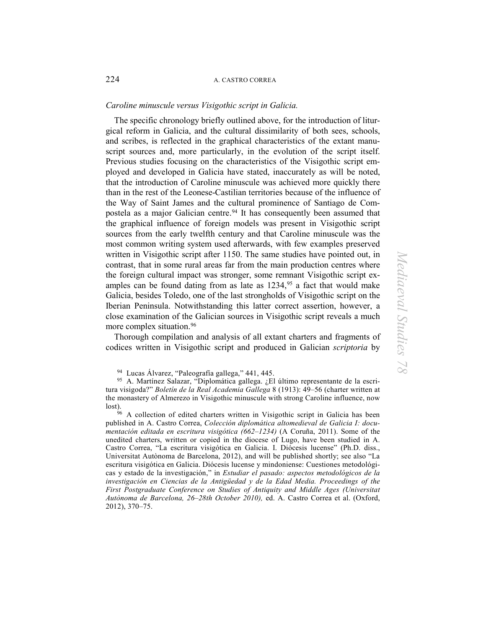## *Caroline minuscule versus Visigothic script in Galicia.*

 The specific chronology briefly outlined above, for the introduction of liturgical reform in Galicia, and the cultural dissimilarity of both sees, schools, and scribes, is reflected in the graphical characteristics of the extant manuscript sources and, more particularly, in the evolution of the script itself. Previous studies focusing on the characteristics of the Visigothic script employed and developed in Galicia have stated, inaccurately as will be noted, that the introduction of Caroline minuscule was achieved more quickly there than in the rest of the Leonese-Castilian territories because of the influence of the Way of Saint James and the cultural prominence of Santiago de Compostela as a major Galician centre. [94](#page-21-0) It has consequently been assumed that the graphical influence of foreign models was present in Visigothic script sources from the early twelfth century and that Caroline minuscule was the most common writing system used afterwards, with few examples preserved written in Visigothic script after 1150. The same studies have pointed out, in contrast, that in some rural areas far from the main production centres where the foreign cultural impact was stronger, some remnant Visigothic script examples can be found dating from as late as  $1234$ ,  $95$  a fact that would make Galicia, besides Toledo, one of the last strongholds of Visigothic script on the Iberian Peninsula. Notwithstanding this latter correct assertion, however, a close examination of the Galician sources in Visigothic script reveals a much more complex situation.<sup>96</sup>

Thorough compilation and analysis of all extant charters and fragments of codices written in Visigothic script and produced in Galician *scriptoria* by

<span id="page-21-1"></span><span id="page-21-0"></span><sup>94</sup> Lucas Álvarez, "Paleografía gallega," 441, 445.<br><sup>95</sup> A. Martínez Salazar, "Diplomática gallega. ¿El último representante de la escritura visigoda?" *Boletín de la Real Academia Gallega* 8 (1913): 49–56 (charter written at the monastery of Almerezo in Visigothic minuscule with strong Caroline influence, now lost).

<span id="page-21-2"></span>96 A collection of edited charters written in Visigothic script in Galicia has been published in A. Castro Correa, *Colección diplomática altomedieval de Galicia I: documentación editada en escritura visigótica (662–1234)* (A Coruña, 2011). Some of the unedited charters, written or copied in the diocese of Lugo, have been studied in A. Castro Correa, "La escritura visigótica en Galicia. I. Diócesis lucense" (Ph.D. diss., Universitat Autònoma de Barcelona, 2012), and will be published shortly; see also "La escritura visigótica en Galicia. Diócesis lucense y mindoniense: Cuestiones metodológicas y estado de la investigación," in *Estudiar el pasado: aspectos metodológicos de la investigación en Ciencias de la Antigüedad y de la Edad Media. Proceedings of the First Postgraduate Conference on Studies of Antiquity and Middle Ages (Universitat Autònoma de Barcelona, 26–28th October 2010),* ed. A. Castro Correa et al. (Oxford, 2012), 370–75.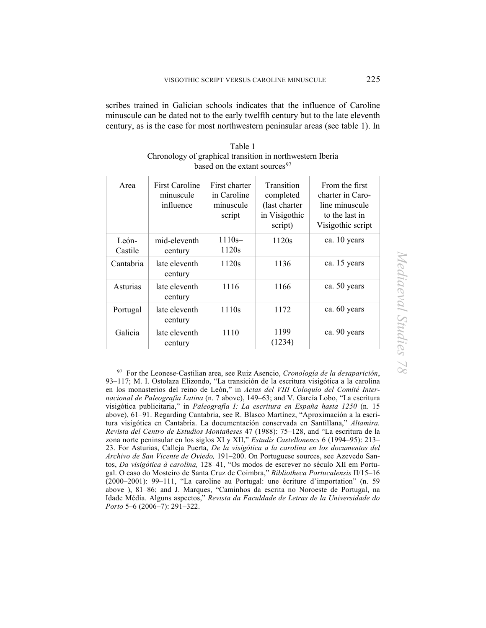scribes trained in Galician schools indicates that the influence of Caroline minuscule can be dated not to the early twelfth century but to the late eleventh century, as is the case for most northwestern peninsular areas (see table 1). In

| Area             | First Caroline<br>minuscule<br>influence | First charter<br>in Caroline<br>minuscule<br>script | <b>Transition</b><br>completed<br>(last charter<br>in Visigothic<br>script) | From the first<br>charter in Caro-<br>line minuscule<br>to the last in<br>Visigothic script |
|------------------|------------------------------------------|-----------------------------------------------------|-----------------------------------------------------------------------------|---------------------------------------------------------------------------------------------|
| León-<br>Castile | mid-eleventh<br>century                  | $1110s -$<br>1120s                                  | 1120s                                                                       | ca. 10 years                                                                                |
| Cantabria        | late eleventh<br>century                 | 1120s                                               | 1136                                                                        | ca. 15 years                                                                                |
| Asturias         | late eleventh<br>century                 | 1116                                                | 1166                                                                        | ca. 50 years                                                                                |
| Portugal         | late eleventh<br>century                 | 1110s                                               | 1172                                                                        | ca. 60 years                                                                                |
| Galicia          | late eleventh<br>century                 | 1110                                                | 1199<br>(1234)                                                              | ca. 90 years                                                                                |

Table 1 Chronology of graphical transition in northwestern Iberia based on the extant sources<sup>[97](#page-22-0)</sup>

<span id="page-22-0"></span>97 For the Leonese-Castilian area, see Ruiz Asencio, *Cronología de la desaparición*, 93–117; M. I. Ostolaza Elizondo, "La transición de la escritura visigótica a la carolina en los monasterios del reino de León," in *Actas del VIII Coloquio del Comité Internacional de Paleografía Latina* (n. 7 above), 149–63; and V. García Lobo, "La escritura visigótica publicitaria," in *Paleografía I: La escritura en España hasta 1250* (n. 15 above), 61–91. Regarding Cantabria, see R. Blasco Martínez, "Aproximación a la escritura visigótica en Cantabria. La documentación conservada en Santillana," *Altamira. Revista del Centro de Estudios Montañeses* 47 (1988): 75–128, and "La escritura de la zona norte peninsular en los siglos XI y XII," *Estudis Castellonencs* 6 (1994–95): 213– 23. For Asturias, Calleja Puerta, *De la visigótica a la carolina en los documentos del Archivo de San Vicente de Oviedo,* 191–200. On Portuguese sources, see Azevedo Santos, *Da visigótica à carolina,* 128–41, "Os modos de escrever no século XII em Portugal. O caso do Mosteiro de Santa Cruz de Coimbra," *Bibliotheca Portucalensis* II/15–16 (2000–2001): 99–111, "La caroline au Portugal: une écriture d'importation" (n. 59 above ), 81–86; and J. Marques, "Caminhos da escrita no Noroeste de Portugal, na Idade Média. Alguns aspectos," *Revista da Faculdade de Letras de la Universidade do Porto* 5–6 (2006–7): 291–322.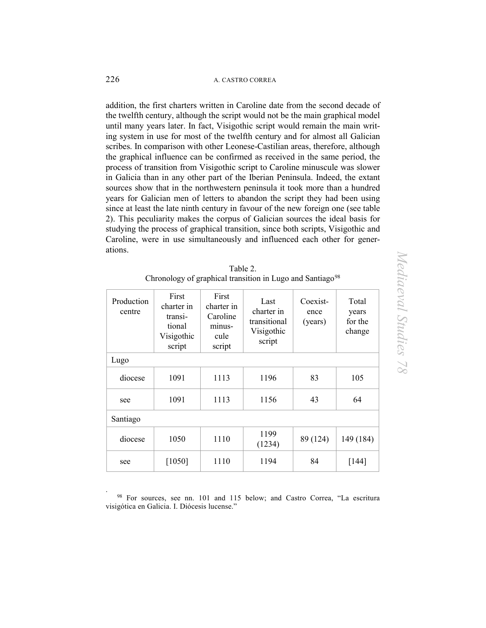addition, the first charters written in Caroline date from the second decade of the twelfth century, although the script would not be the main graphical model until many years later. In fact, Visigothic script would remain the main writing system in use for most of the twelfth century and for almost all Galician scribes. In comparison with other Leonese-Castilian areas, therefore, although the graphical influence can be confirmed as received in the same period, the process of transition from Visigothic script to Caroline minuscule was slower in Galicia than in any other part of the Iberian Peninsula. Indeed, the extant sources show that in the northwestern peninsula it took more than a hundred years for Galician men of letters to abandon the script they had been using since at least the late ninth century in favour of the new foreign one (see table 2). This peculiarity makes the corpus of Galician sources the ideal basis for studying the process of graphical transition, since both scripts, Visigothic and Caroline, were in use simultaneously and influenced each other for generations.

|                                                                       | Table 2. |  |
|-----------------------------------------------------------------------|----------|--|
| Chronology of graphical transition in Lugo and Santiago <sup>98</sup> |          |  |

| Production<br>centre | First<br>charter in<br>transi-<br>tional<br>Visigothic<br>script | First<br>charter in<br>Caroline<br>minus-<br>cule<br>script | Last<br>charter in<br>transitional<br>Visigothic<br>script | Coexist-<br>ence<br>(years) | Total<br>years<br>for the<br>change |
|----------------------|------------------------------------------------------------------|-------------------------------------------------------------|------------------------------------------------------------|-----------------------------|-------------------------------------|
| Lugo                 |                                                                  |                                                             |                                                            |                             |                                     |
| diocese              | 1091                                                             | 1113                                                        | 1196                                                       | 83                          | 105                                 |
| see                  | 1091                                                             | 1113                                                        | 1156                                                       | 43                          | 64                                  |
| Santiago             |                                                                  |                                                             |                                                            |                             |                                     |
| diocese              | 1050                                                             | 1110                                                        | 1199<br>(1234)                                             | 89 (124)                    | 149 (184)                           |
| see                  | [1050]                                                           | 1110                                                        | 1194                                                       | 84                          | [144]                               |

<span id="page-23-0"></span><sup>98</sup> For sources, see nn. 101 and 115 below; and Castro Correa, "La escritura visigótica en Galicia. I. Diócesis lucense."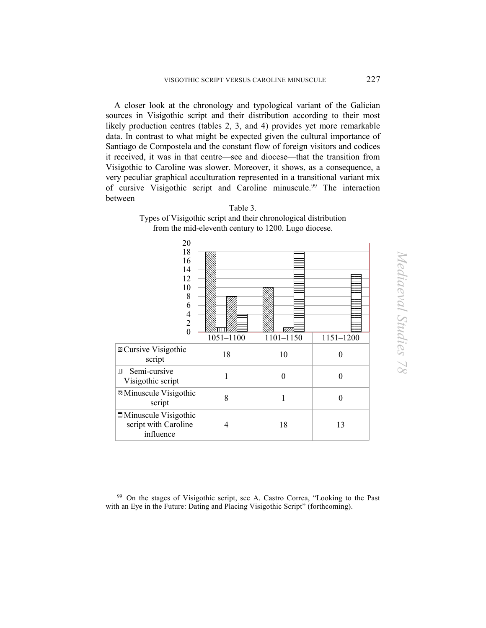A closer look at the chronology and typological variant of the Galician sources in Visigothic script and their distribution according to their most likely production centres (tables 2, 3, and 4) provides yet more remarkable data. In contrast to what might be expected given the cultural importance of Santiago de Compostela and the constant flow of foreign visitors and codices it received, it was in that centre—see and diocese—that the transition from Visigothic to Caroline was slower. Moreover, it shows, as a consequence, a very peculiar graphical acculturation represented in a transitional variant mix of cursive Visigothic script and Caroline minuscule[.99](#page-24-0) The interaction between

| 20<br>18<br>16<br>14<br>12<br>10<br>8<br>6<br>$\overline{4}$<br>$\overline{2}$<br>$\theta$ | $1051 - 1100$ | ल्ला<br>1101-1150 | 1151-1200 |
|--------------------------------------------------------------------------------------------|---------------|-------------------|-----------|
| <b>□ Cursive Visigothic</b><br>script                                                      | 18            | 10                | $\theta$  |
| Semi-cursive<br>$\Box$<br>Visigothic script                                                | 1             | $\theta$          | $\theta$  |
| <b>Z</b> Minuscule Visigothic<br>script                                                    | 8             | 1                 | $\theta$  |
| $\Box$ Minuscule Visigothic<br>script with Caroline<br>influence                           | 4             | 18                | 13        |

Types of Visigothic script and their chronological distribution from the mid-eleventh century to 1200. Lugo diocese.

Table 3.

<span id="page-24-0"></span>99 On the stages of Visigothic script, see A. Castro Correa, "Looking to the Past with an Eye in the Future: Dating and Placing Visigothic Script" (forthcoming).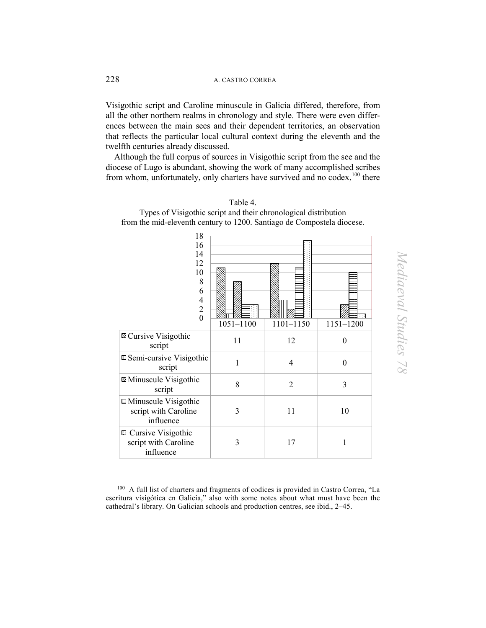Visigothic script and Caroline minuscule in Galicia differed, therefore, from all the other northern realms in chronology and style. There were even differences between the main sees and their dependent territories, an observation that reflects the particular local cultural context during the eleventh and the twelfth centuries already discussed.

 Although the full corpus of sources in Visigothic script from the see and the diocese of Lugo is abundant, showing the work of many accomplished scribes from whom, unfortunately, only charters have survived and no codex,<sup>100</sup> there

| 18<br>16<br>14<br>12<br>10<br>8<br>6<br>$\overline{4}$<br>$\overline{c}$<br>$\overline{0}$ | $1051 - 1100$ | 1101-1150      | $1151 - 1200$    |
|--------------------------------------------------------------------------------------------|---------------|----------------|------------------|
| <b>¤</b> Cursive Visigothic<br>script                                                      | 11            | 12             | $\boldsymbol{0}$ |
| □ Semi-cursive Visigothic<br>script                                                        | 1             | $\overline{4}$ | $\mathbf{0}$     |
| <b>Z</b> Minuscule Visigothic<br>script                                                    | 8             | $\overline{2}$ | 3                |
| $\Box$ Minuscule Visigothic<br>script with Caroline<br>influence                           | 3             | 11             | 10               |
| □ Cursive Visigothic<br>script with Caroline<br>influence                                  | 3             | 17             | 1                |

Table 4.

Types of Visigothic script and their chronological distribution from the mid-eleventh century to 1200. Santiago de Compostela diocese.

<span id="page-25-0"></span>100 A full list of charters and fragments of codices is provided in Castro Correa, "La escritura visigótica en Galicia," also with some notes about what must have been the cathedral's library. On Galician schools and production centres, see ibid., 2–45.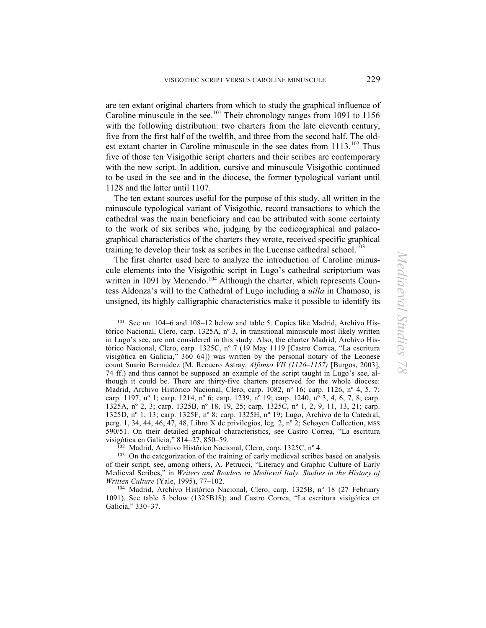are ten extant original charters from which to study the graphical influence of Caroline minuscule in the see.<sup>[101](#page-26-0)</sup> Their chronology ranges from 1091 to 1156 with the following distribution: two charters from the late eleventh century, five from the first half of the twelfth, and three from the second half. The oldest extant charter in Caroline minuscule in the see dates from 1113.<sup>102</sup> Thus five of those ten Visigothic script charters and their scribes are contemporary with the new script. In addition, cursive and minuscule Visigothic continued to be used in the see and in the diocese, the former typological variant until 1128 and the latter until 1107.

The ten extant sources useful for the purpose of this study, all written in the minuscule typological variant of Visigothic, record transactions to which the cathedral was the main beneficiary and can be attributed with some certainty to the work of six scribes who, judging by the codicographical and palaeographical characteristics of the charters they wrote, received specific graphical training to develop their task as scribes in the Lucense cathedral school.<sup>[103](#page-26-2)</sup>

The first charter used here to analyze the introduction of Caroline minuscule elements into the Visigothic script in Lugo's cathedral scriptorium was written in 1091 by Menendo.<sup>[104](#page-26-3)</sup> Although the charter, which represents Countess Aldonza's will to the Cathedral of Lugo including a *uilla* in Chamoso, is unsigned, its highly calligraphic characteristics make it possible to identify its

<span id="page-26-0"></span>101 See nn. 104–6 and 108–12 below and table 5. Copies like Madrid, Archivo Histórico Nacional, Clero, carp. 1325A, nº 3, in transitional minuscule most likely written in Lugo's see, are not considered in this study. Also, the charter Madrid, Archivo Histórico Nacional, Clero, carp. 1325C, nº 7 (19 May 1119 [Castro Correa, "La escritura visigótica en Galicia," 360–64]) was written by the personal notary of the Leonese count Suario Bermúdez (M. Recuero Astray, *Alfonso VII (1126–1157)* [Burgos, 2003], 74 ff.) and thus cannot be supposed an example of the script taught in Lugo's see, although it could be. There are thirty-five charters preserved for the whole diocese: Madrid, Archivo Histórico Nacional, Clero, carp. 1082, nº 16; carp. 1126, nº 4, 5, 7; carp. 1197, n<sup>o</sup> 1; carp. 1214, n<sup>o</sup> 6; carp. 1239, n<sup>o</sup> 19; carp. 1240, n<sup>o</sup> 3, 4, 6, 7, 8; carp. 1325A, nº 2, 3; carp. 1325B, nº 18, 19, 25; carp. 1325C, nº 1, 2, 9, 11, 13, 21; carp. 1325D, nº 1, 13; carp. 1325F, nº 8; carp. 1325H, nº 19; Lugo, Archivo de la Catedral, perg. 1, 34, 44, 46, 47, 48, Libro X de privilegios, leg. 2, nº 2; Schøyen Collection, MSS 590/51. On their detailed graphical characteristics, see Castro Correa, "La escritura visigótica en Galicia," 814–27, 850–59.<br><sup>102</sup> Madrid, Archivo Histórico Nacional, Clero, carp. 1325C, nº 4.<br><sup>103</sup> On the categorization of the training of early medieval scribes based on analysis

<span id="page-26-2"></span><span id="page-26-1"></span>of their script, see, among others, A. Petrucci, "Literacy and Graphic Culture of Early Medieval Scribes," in *Writers and Readers in Medieval Italy. Studies in the History of Written Culture* (Yale, 1995), 77–102.

<span id="page-26-3"></span>104 Madrid, Archivo Histórico Nacional, Clero, carp. 1325B, nº 18 (27 February 1091). See table 5 below (1325B18); and Castro Correa, "La escritura visigótica en Galicia," 330–37.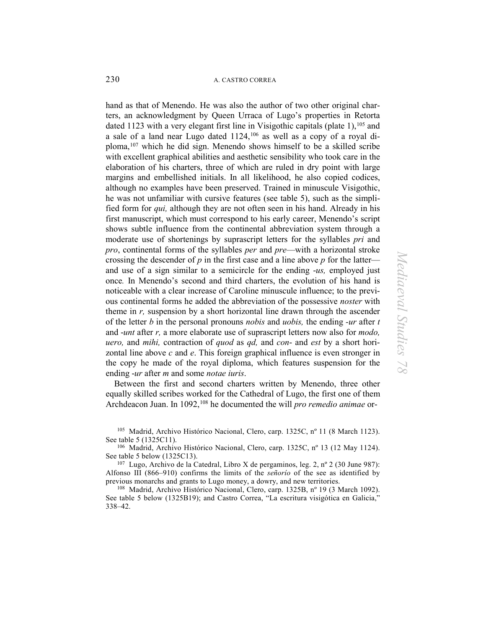hand as that of Menendo. He was also the author of two other original charters, an acknowledgment by Queen Urraca of Lugo's properties in Retorta dated 1123 with a very elegant first line in Visigothic capitals (plate 1),<sup>105</sup> and a sale of a land near Lugo dated  $1124$ ,  $106$  as well as a copy of a royal diploma,[107](#page-27-2) which he did sign. Menendo shows himself to be a skilled scribe with excellent graphical abilities and aesthetic sensibility who took care in the elaboration of his charters, three of which are ruled in dry point with large margins and embellished initials. In all likelihood, he also copied codices, although no examples have been preserved. Trained in minuscule Visigothic, he was not unfamiliar with cursive features (see table 5), such as the simplified form for *qui,* although they are not often seen in his hand. Already in his first manuscript, which must correspond to his early career, Menendo's script shows subtle influence from the continental abbreviation system through a moderate use of shortenings by suprascript letters for the syllables *pri* and *pro*, continental forms of the syllables *per* and *pre*—with a horizontal stroke crossing the descender of  $p$  in the first case and a line above  $p$  for the latterand use of a sign similar to a semicircle for the ending -*us,* employed just once*.* In Menendo's second and third charters, the evolution of his hand is noticeable with a clear increase of Caroline minuscule influence; to the previous continental forms he added the abbreviation of the possessive *noster* with theme in *r,* suspension by a short horizontal line drawn through the ascender of the letter *b* in the personal pronouns *nobis* and *uobis,* the ending *-ur* after *t* and -*unt* after *r,* a more elaborate use of suprascript letters now also for *modo, uero,* and *mihi,* contraction of *quod* as *qd,* and *con*- and *est* by a short horizontal line above *c* and *e*. This foreign graphical influence is even stronger in the copy he made of the royal diploma, which features suspension for the ending -*ur* after *m* and some *notae iuris*.

Between the first and second charters written by Menendo, three other equally skilled scribes worked for the Cathedral of Lugo, the first one of them Archdeacon Juan. In 1092,<sup>[108](#page-27-3)</sup> he documented the will *pro remedio animae* or-

<span id="page-27-0"></span>105 Madrid, Archivo Histórico Nacional, Clero, carp. 1325C, nº 11 (8 March 1123). See table 5 (1325C11).

<span id="page-27-1"></span>106 Madrid, Archivo Histórico Nacional, Clero, carp. 1325C, nº 13 (12 May 1124). See table 5 below (1325C13).

<span id="page-27-2"></span> $107$  Lugo, Archivo de la Catedral, Libro X de pergaminos, leg. 2, nº 2 (30 June 987): Alfonso III (866–910) confirms the limits of the *señorío* of the see as identified by previous monarchs and grants to Lugo money, a dowry, and new territories.<br><sup>108</sup> Madrid, Archivo Histórico Nacional, Clero, carp. 1325B, nº 19 (3 March 1092).

<span id="page-27-3"></span>See table 5 below (1325B19); and Castro Correa, "La escritura visigótica en Galicia," 338–42.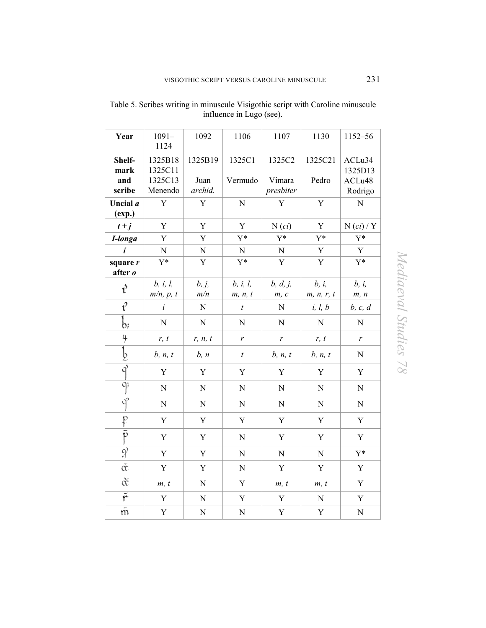| Year                   | $1091 -$<br>1124              | 1092            | 1106                                        | 1107                | 1130                | 1152-56           |
|------------------------|-------------------------------|-----------------|---------------------------------------------|---------------------|---------------------|-------------------|
| Shelf-<br>mark         | 1325B18<br>1325C11            | 1325B19         | 1325C1                                      | 1325C2              | 1325C21             | ACLu34<br>1325D13 |
| and<br>scribe          | 1325C13<br>Menendo            | Juan<br>archid. | Vermudo                                     | Vimara<br>presbiter | Pedro               | ACLu48<br>Rodrigo |
| Uncial a<br>(exp.)     | Y                             | Y               | $\overline{N}$                              | $\mathbf Y$         | $\mathbf Y$         | ${\bf N}$         |
| $t+j$                  | Y                             | $\mathbf Y$     | $\mathbf Y$                                 | $N$ $(ci)$          | $\mathbf Y$         | $N$ (ci) / Y      |
| I-longa                | Y                             | Y               | $Y^*$                                       | $Y^*$               | $Y^*$               | $Y^*$             |
| í                      | ${\bf N}$                     | ${\bf N}$       | ${\bf N}$                                   | ${\bf N}$           | $\mathbf Y$         | Y                 |
| square r<br>after o    | Y*                            | $\mathbf Y$     | $Y^*$                                       | Y                   | $\mathbf Y$         | $Y^*$             |
| ŕ                      | b, i, l,<br>$m/n$ , $p$ , $t$ | b, j,<br>m/n    | <i>b</i> , <i>i</i> , <i>l</i> ,<br>m, n, t | b, d, j,<br>m, c    | b, i,<br>m, n, r, t | b, i,<br>m, n     |
| l                      | $\dot{i}$                     | ${\bf N}$       | $\boldsymbol{t}$                            | $\mathbf N$         | i, l, b             | b, c, d           |
| b;                     | ${\bf N}$                     | ${\bf N}$       | N                                           | ${\bf N}$           | $\mathbf N$         | ${\bf N}$         |
| 4                      | r, t                          | r, n, t         | r                                           | $\mathfrak{r}$      | r, t                | r                 |
| b                      | b, n, t                       | b, n            | $\boldsymbol{t}$                            | b, n, t             | b, n, t             | ${\bf N}$         |
| $\overline{q}$         | Y                             | Y               | Y                                           | Y                   | Y                   | Y                 |
| q;                     | ${\bf N}$                     | ${\bf N}$       | $\mathbf N$                                 | ${\bf N}$           | ${\bf N}$           | ${\bf N}$         |
| $q^2$                  | ${\bf N}$                     | ${\bf N}$       | ${\bf N}$                                   | $\mathbf N$         | ${\bf N}$           | ${\bf N}$         |
| p                      | $\mathbf Y$                   | Y               | Y                                           | Y                   | Y                   | Y                 |
| $\overline{\tilde{p}}$ | Y                             | $\mathbf Y$     | $\mathbf N$                                 | $\mathbf Y$         | $\mathbf Y$         | Y                 |
| $\mathfrak{P}$         | $\mathbf Y$                   | Y               | $\mathbf N$                                 | ${\bf N}$           | ${\bf N}$           | $Y^*$             |
| $\tilde{\alpha}$       | Y                             | Y               | ${\bf N}$                                   | Y                   | Y                   | Y                 |
| $\breve{\alpha}$       | m, t                          | ${\bf N}$       | Y                                           | m, t                | m, t                | Y                 |
| $\bar{\tilde{r}}$      | Y                             | ${\bf N}$       | Y                                           | Y                   | ${\bf N}$           | Y                 |
| $\tilde{\mathfrak{m}}$ | Y                             | $\mathbf N$     | $\mathbf N$                                 | Y                   | Y                   | ${\bf N}$         |

Table 5. Scribes writing in minuscule Visigothic script with Caroline minuscule influence in Lugo (see).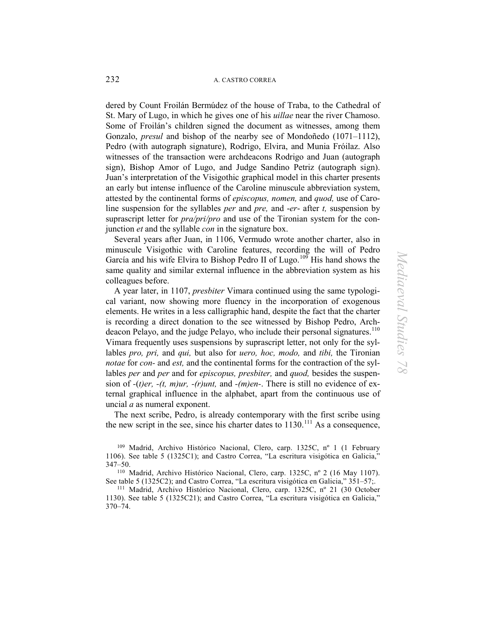dered by Count Froilán Bermúdez of the house of Traba, to the Cathedral of St. Mary of Lugo, in which he gives one of his *uillae* near the river Chamoso. Some of Froilán's children signed the document as witnesses, among them Gonzalo, *presul* and bishop of the nearby see of Mondoñedo (1071–1112), Pedro (with autograph signature), Rodrigo, Elvira, and Munia Fróilaz. Also witnesses of the transaction were archdeacons Rodrigo and Juan (autograph sign), Bishop Amor of Lugo, and Judge Sandino Petriz (autograph sign). Juan's interpretation of the Visigothic graphical model in this charter presents an early but intense influence of the Caroline minuscule abbreviation system, attested by the continental forms of *episcopus, nomen,* and *quod,* use of Caroline suspension for the syllables *per* and *pre,* and -*er*- after *t,* suspension by suprascript letter for *pra/pri/pro* and use of the Tironian system for the conjunction *et* and the syllable *con* in the signature box.

Several years after Juan, in 1106, Vermudo wrote another charter, also in minuscule Visigothic with Caroline features, recording the will of Pedro García and his wife Elvira to Bishop Pedro II of Lugo.<sup>[109](#page-29-0)</sup> His hand shows the same quality and similar external influence in the abbreviation system as his colleagues before.

A year later, in 1107, *presbiter* Vimara continued using the same typological variant, now showing more fluency in the incorporation of exogenous elements. He writes in a less calligraphic hand, despite the fact that the charter is recording a direct donation to the see witnessed by Bishop Pedro, Arch-deacon Pelayo, and the judge Pelayo, who include their personal signatures.<sup>[110](#page-29-1)</sup> Vimara frequently uses suspensions by suprascript letter, not only for the syllables *pro, pri,* and *qui,* but also for *uero, hoc, modo,* and *tibi,* the Tironian *notae* for *con-* and *est,* and the continental forms for the contraction of the syllables *per* and *per* and for *episcopus, presbiter,* and *quod,* besides the suspension of *-*(*t)er, -(t, m)ur, -(r)unt,* and *-(m)en-*. There is still no evidence of external graphical influence in the alphabet, apart from the continuous use of uncial *a* as numeral exponent.

The next scribe, Pedro, is already contemporary with the first scribe using the new script in the see, since his charter dates to  $1130$ .<sup>[111](#page-29-2)</sup> As a consequence,

<span id="page-29-1"></span>347–50.<br><sup>110</sup> Madrid, Archivo Histórico Nacional, Clero, carp. 1325C, nº 2 (16 May 1107).<br>See table 5 (1325C2); and Castro Correa, "La escritura visigótica en Galicia," 351–57;.

<span id="page-29-2"></span><sup>111</sup> Madrid, Archivo Histórico Nacional, Clero, carp. 1325C, nº 21 (30 October 1130). See table 5 (1325C21); and Castro Correa, "La escritura visigótica en Galicia," 370–74.

<span id="page-29-0"></span><sup>109</sup> Madrid, Archivo Histórico Nacional, Clero, carp. 1325C, nº 1 (1 February 1106). See table 5 (1325C1); and Castro Correa, "La escritura visigótica en Galicia,"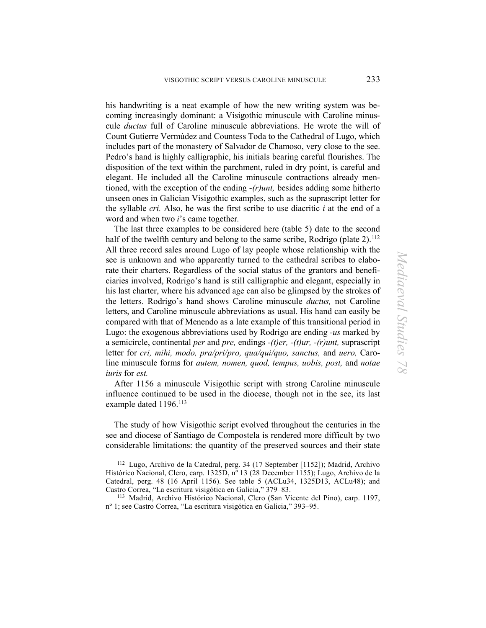his handwriting is a neat example of how the new writing system was becoming increasingly dominant: a Visigothic minuscule with Caroline minuscule *ductus* full of Caroline minuscule abbreviations. He wrote the will of Count Gutierre Vermúdez and Countess Toda to the Cathedral of Lugo, which includes part of the monastery of Salvador de Chamoso, very close to the see. Pedro's hand is highly calligraphic, his initials bearing careful flourishes. The disposition of the text within the parchment, ruled in dry point, is careful and elegant. He included all the Caroline minuscule contractions already mentioned, with the exception of the ending *-(r)unt,* besides adding some hitherto unseen ones in Galician Visigothic examples, such as the suprascript letter for the syllable *cri.* Also, he was the first scribe to use diacritic *i* at the end of a word and when two *i*'s came together*.* 

The last three examples to be considered here (table 5) date to the second half of the twelfth century and belong to the same scribe, Rodrigo (plate 2).<sup>[112](#page-30-0)</sup> All three record sales around Lugo of lay people whose relationship with the see is unknown and who apparently turned to the cathedral scribes to elaborate their charters. Regardless of the social status of the grantors and beneficiaries involved, Rodrigo's hand is still calligraphic and elegant, especially in his last charter, where his advanced age can also be glimpsed by the strokes of the letters. Rodrigo's hand shows Caroline minuscule *ductus,* not Caroline letters, and Caroline minuscule abbreviations as usual. His hand can easily be compared with that of Menendo as a late example of this transitional period in Lugo: the exogenous abbreviations used by Rodrigo are ending *-us* marked by a semicircle, continental *per* and *pre,* endings *-(t)er, -(t)ur, -(r)unt,* suprascript letter for *cri, mihi, modo, pra/pri/pro, qua/qui/quo, sanctus,* and *uero,* Caroline minuscule forms for *autem, nomen, quod, tempus, uobis, post,* and *notae iuris* for *est.*

After 1156 a minuscule Visigothic script with strong Caroline minuscule influence continued to be used in the diocese, though not in the see, its last example dated 1196.<sup>[113](#page-30-1)</sup>

The study of how Visigothic script evolved throughout the centuries in the see and diocese of Santiago de Compostela is rendered more difficult by two considerable limitations: the quantity of the preserved sources and their state

<span id="page-30-1"></span>113 Madrid, Archivo Histórico Nacional, Clero (San Vicente del Pino), carp. 1197, nº 1; see Castro Correa, "La escritura visigótica en Galicia," 393–95.

<span id="page-30-0"></span><sup>112</sup> Lugo, Archivo de la Catedral, perg. 34 (17 September [1152]); Madrid, Archivo Histórico Nacional, Clero, carp. 1325D, nº 13 (28 December 1155); Lugo, Archivo de la Catedral, perg. 48 (16 April 1156). See table 5 (ACLu34, 1325D13, ACLu48); and Castro Correa, "La escritura visigótica en Galicia," 379–83.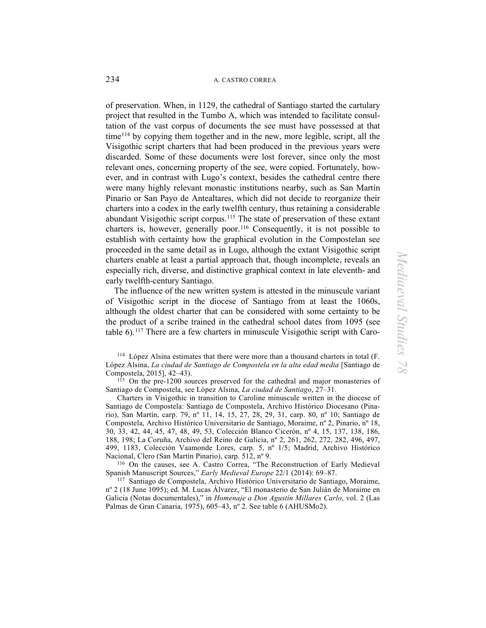of preservation. When, in 1129, the cathedral of Santiago started the cartulary project that resulted in the Tumbo A, which was intended to facilitate consultation of the vast corpus of documents the see must have possessed at that time[114](#page-31-0) by copying them together and in the new, more legible, script, all the Visigothic script charters that had been produced in the previous years were discarded. Some of these documents were lost forever, since only the most relevant ones, concerning property of the see, were copied. Fortunately, however, and in contrast with Lugo's context, besides the cathedral centre there were many highly relevant monastic institutions nearby, such as San Martín Pinario or San Payo de Antealtares, which did not decide to reorganize their charters into a codex in the early twelfth century, thus retaining a considerable abundant Visigothic script corpus.[115](#page-31-1) The state of preservation of these extant charters is, however, generally poor.[116](#page-31-2) Consequently, it is not possible to establish with certainty how the graphical evolution in the Compostelan see proceeded in the same detail as in Lugo, although the extant Visigothic script charters enable at least a partial approach that, though incomplete, reveals an especially rich, diverse, and distinctive graphical context in late eleventh- and early twelfth-century Santiago.

The influence of the new written system is attested in the minuscule variant of Visigothic script in the diocese of Santiago from at least the 1060s, although the oldest charter that can be considered with some certainty to be the product of a scribe trained in the cathedral school dates from 1095 (see table 6).[117](#page-31-3) There are a few charters in minuscule Visigothic script with Caro-

<span id="page-31-0"></span>114 López Alsina estimates that there were more than a thousand charters in total (F. López Alsina, *La ciudad de Santiago de Compostela en la alta edad media* [Santiago de Compostela, 2015], 42–43).

<span id="page-31-1"></span> $115$  On the pre-1200 sources preserved for the cathedral and major monasteries of Santiago de Compostela, see López Alsina, *La ciudad de Santiago*, 27–31.

Charters in Visigothic in transition to Caroline minuscule written in the diocese of Santiago de Compostela: Santiago de Compostela, Archivo Histórico Diocesano (Pinario), San Martín, carp. 79, nº 11, 14, 15, 27, 28, 29, 31, carp. 80, nº 10; Santiago de Compostela, Archivo Histórico Universitario de Santiago, Moraime, nº 2, Pinario, nº 18, 30, 33, 42, 44, 45, 47, 48, 49, 53, Colección Blanco Cicerón, nº 4, 15, 137, 138, 186, 188, 198; La Coruña, Archivo del Reino de Galicia, nº 2, 261, 262, 272, 282, 496, 497, 499, 1183, Colección Vaamonde Lores, carp. 5, nº 1/5; Madrid, Archivo Histórico Nacional, Clero (San Martín Pinario), carp. 512,  $n^{\circ}$  9.<br><sup>116</sup> On the causes, see A. Castro Correa, "The Reconstruction of Early Medieval

<span id="page-31-2"></span>Spanish Manuscript Sources," *Early Medieval Europe* 22/1 (2014): 69–87.

<span id="page-31-3"></span>117 Santiago de Compostela, Archivo Histórico Universitario de Santiago, Moraime, nº 2 (18 June 1095); ed. M. Lucas Álvarez, "El monasterio de San Julián de Moraime en Galicia (Notas documentales)," in *Homenaje a Don Agustín Millares Carlo*, vol. 2 (Las Palmas de Gran Canaria, 1975), 605–43, nº 2. See table 6 (AHUSMo2).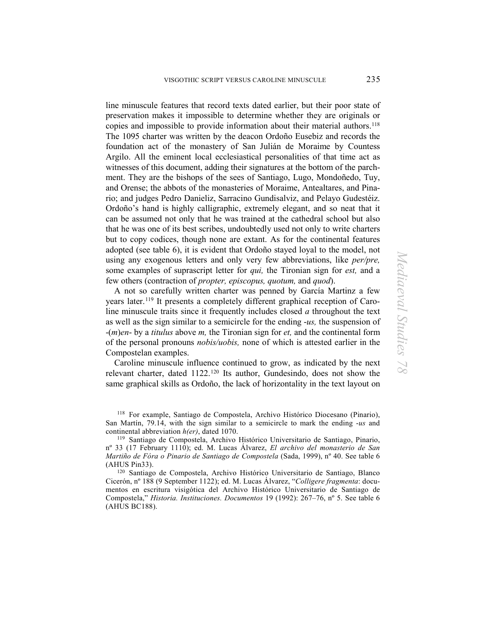line minuscule features that record texts dated earlier, but their poor state of preservation makes it impossible to determine whether they are originals or copies and impossible to provide information about their material authors.<sup>118</sup> The 1095 charter was written by the deacon Ordoño Eusebiz and records the foundation act of the monastery of San Julián de Moraime by Countess Argilo. All the eminent local ecclesiastical personalities of that time act as witnesses of this document, adding their signatures at the bottom of the parchment. They are the bishops of the sees of Santiago, Lugo, Mondoñedo, Tuy, and Orense; the abbots of the monasteries of Moraime, Antealtares, and Pinario; and judges Pedro Danieliz, Sarracino Gundisalviz, and Pelayo Gudestéiz. Ordoño's hand is highly calligraphic, extremely elegant, and so neat that it can be assumed not only that he was trained at the cathedral school but also that he was one of its best scribes, undoubtedly used not only to write charters but to copy codices, though none are extant. As for the continental features adopted (see table 6), it is evident that Ordoño stayed loyal to the model, not using any exogenous letters and only very few abbreviations, like *per/pre,* some examples of suprascript letter for *qui,* the Tironian sign for *est,* and a few others (contraction of *propter, episcopus, quotum,* and *quod*).

A not so carefully written charter was penned by García Martinz a few years later.[119](#page-32-1) It presents a completely different graphical reception of Caroline minuscule traits since it frequently includes closed *a* throughout the text as well as the sign similar to a semicircle for the ending -*us,* the suspension of -(*m*)*en*- by a *titulus* above *m,* the Tironian sign for *et,* and the continental form of the personal pronouns *nobis/uobis,* none of which is attested earlier in the Compostelan examples.

Caroline minuscule influence continued to grow, as indicated by the next relevant charter, dated 1122.[120](#page-32-2) Its author, Gundesindo, does not show the same graphical skills as Ordoño, the lack of horizontality in the text layout on

<span id="page-32-0"></span><sup>118</sup> For example, Santiago de Compostela, Archivo Histórico Diocesano (Pinario), San Martín, 79.14, with the sign similar to a semicircle to mark the ending -*us* and

<span id="page-32-1"></span><sup>&</sup>lt;sup>119</sup> Santiago de Compostela, Archivo Histórico Universitario de Santiago, Pinario, nº 33 (17 February 1110); ed. M. Lucas Álvarez, *El archivo del monasterio de San Martiño de Fóra o Pinario de Santiago de Compostela* (Sada, 1999), nº 40. See table 6 (AHUS Pin33).

<span id="page-32-2"></span><sup>120</sup> Santiago de Compostela, Archivo Histórico Universitario de Santiago, Blanco Cicerón, nº 188 (9 September 1122); ed. M. Lucas Álvarez, "*Colligere fragmenta*: documentos en escritura visigótica del Archivo Histórico Universitario de Santiago de Compostela," *Historia. Instituciones. Documentos* 19 (1992): 267–76, nº 5. See table 6 (AHUS BC188).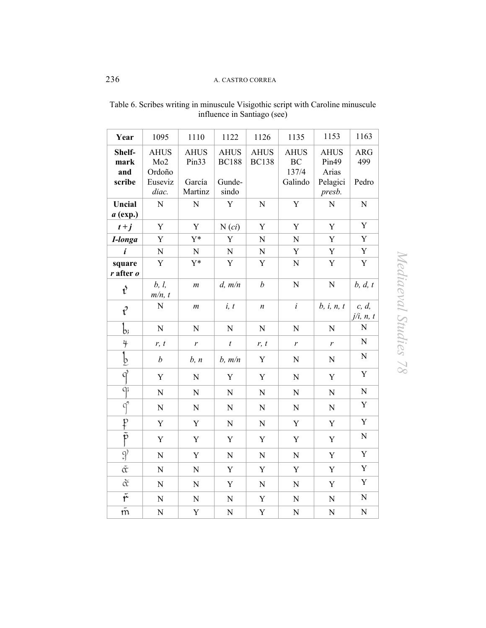| Year                            | 1095                                                         | 1110                                                  | 1122                                           | 1126                        | 1135                                  | 1153                                                            | 1163                       |
|---------------------------------|--------------------------------------------------------------|-------------------------------------------------------|------------------------------------------------|-----------------------------|---------------------------------------|-----------------------------------------------------------------|----------------------------|
| Shelf-<br>mark<br>and<br>scribe | <b>AHUS</b><br>Mo <sub>2</sub><br>Ordoño<br>Euseviz<br>diac. | <b>AHUS</b><br>Pin <sub>33</sub><br>García<br>Martinz | <b>AHUS</b><br><b>BC188</b><br>Gunde-<br>sindo | <b>AHUS</b><br><b>BC138</b> | <b>AHUS</b><br>BC<br>137/4<br>Galindo | <b>AHUS</b><br>Pin <sub>49</sub><br>Arias<br>Pelagici<br>presb. | <b>ARG</b><br>499<br>Pedro |
| Uncial<br>$a$ (exp.)            | $\overline{N}$                                               | $\overline{N}$                                        | Y                                              | $\overline{N}$              | $\mathbf Y$                           | $\overline{N}$                                                  | ${\bf N}$                  |
| $t+j$                           | Y                                                            | Y                                                     | $N$ $(ci)$                                     | Y                           | Y                                     | Y                                                               | $\mathbf Y$                |
| I-longa                         | Y                                                            | $Y^*$                                                 | Y                                              | ${\bf N}$                   | ${\bf N}$                             | Y                                                               | Y                          |
| í                               | $\overline{N}$                                               | $\mathbf N$                                           | $\mathbf N$                                    | $\overline{N}$              | Y                                     | Y                                                               | $\mathbf Y$                |
| square<br>$r$ after $o$         | Y                                                            | Y*                                                    | Y                                              | $\mathbf Y$                 | ${\bf N}$                             | Y                                                               | $\mathbf Y$                |
| ť                               | b, l,<br>$m/n$ , t                                           | $\boldsymbol{m}$                                      | d, m/n                                         | $\boldsymbol{b}$            | $\overline{N}$                        | ${\bf N}$                                                       | b, d, t                    |
| l                               | $\overline{N}$                                               | $\mathfrak{m}$                                        | i, t                                           | $\boldsymbol{n}$            | $\dot{i}$                             | b, i, n, t                                                      | c, d<br>j/i, n, t          |
| b;                              | $\mathbf N$                                                  | $\mathbf N$                                           | $\mathbf N$                                    | $\mathbf N$                 | $\mathbf N$                           | $\mathbf N$                                                     | ${\bf N}$                  |
| 4                               | r, t                                                         | r                                                     | $\boldsymbol{t}$                               | r, t                        | $\mathfrak{r}$                        | $\mathfrak{r}$                                                  | ${\bf N}$                  |
| þ                               | $\boldsymbol{b}$                                             | b, n                                                  | b, m/n                                         | Y                           | $\mathbf N$                           | ${\bf N}$                                                       | ${\bf N}$                  |
| $\overline{q'}$                 | Y                                                            | ${\bf N}$                                             | Y                                              | $\mathbf Y$                 | ${\bf N}$                             | Y                                                               | Y                          |
| q;                              | $\overline{N}$                                               | $\overline{N}$                                        | $\mathbf N$                                    | $\overline{N}$              | $\mathbf N$                           | N                                                               | $\overline{N}$             |
| $q^2$                           | $\overline{N}$                                               | $\overline{N}$                                        | $\overline{N}$                                 | ${\bf N}$                   | ${\bf N}$                             | ${\bf N}$                                                       | $\mathbf Y$                |
| $\mathbf{P}$                    | Y                                                            | Y                                                     | $\overline{N}$                                 | ${\bf N}$                   | Y                                     | Y                                                               | $\mathbf Y$                |
| $\overline{\tilde{p}}$          | Y                                                            | Y                                                     | $\mathbf Y$                                    | $\mathbf Y$                 | $\mathbf Y$                           | Y                                                               | ${\bf N}$                  |
| $\mathcal{G}$                   | $\mathbf N$                                                  | Y                                                     | $\mathbf N$                                    | $\mathbf N$                 | $\mathbf N$                           | $\mathbf Y$                                                     | Y                          |
| $\tilde{\alpha}$                | $\mathbf N$                                                  | $\mathbf N$                                           | Y                                              | Y                           | Y                                     | Y                                                               | $\mathbf Y$                |
| ð                               | $\mathbf N$                                                  | ${\bf N}$                                             | Y                                              | ${\bf N}$                   | $\mathbf N$                           | Y                                                               | Y                          |
| $\overline{\tilde{r}}$          | ${\bf N}$                                                    | $\mathbf N$                                           | ${\bf N}$                                      | Y                           | ${\bf N}$                             | ${\bf N}$                                                       | ${\bf N}$                  |
| $\tilde{\mathfrak{m}}$          | $\mathbf N$                                                  | Y                                                     | $\mathbf N$                                    | Y                           | ${\bf N}$                             | $\overline{N}$                                                  | ${\bf N}$                  |

Table 6. Scribes writing in minuscule Visigothic script with Caroline minuscule influence in Santiago (see)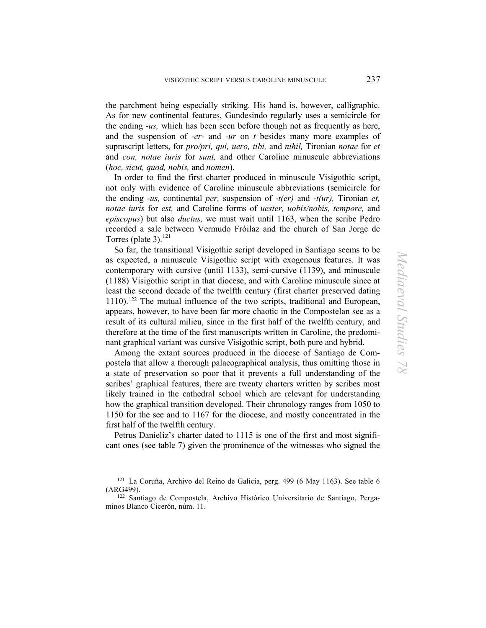the parchment being especially striking. His hand is, however, calligraphic. As for new continental features, Gundesindo regularly uses a semicircle for the ending -*us,* which has been seen before though not as frequently as here, and the suspension of -*er*- and -*ur* on *t* besides many more examples of suprascript letters, for *pro/pri, qui, uero, tibi,* and *nihil,* Tironian *notae* for *et*  and *con, notae iuris* for *sunt,* and other Caroline minuscule abbreviations (*hoc, sicut, quod, nobis,* and *nomen*).

In order to find the first charter produced in minuscule Visigothic script, not only with evidence of Caroline minuscule abbreviations (semicircle for the ending *-us,* continental *per,* suspension of -*t(er)* and -*t(ur),* Tironian *et, notae iuris* for *est,* and Caroline forms of *uester, uobis/nobis, tempore,* and *episcopus*) but also *ductus,* we must wait until 1163, when the scribe Pedro recorded a sale between Vermudo Fróilaz and the church of San Jorge de Torres (plate 3). $^{121}$  $^{121}$  $^{121}$ 

So far, the transitional Visigothic script developed in Santiago seems to be as expected, a minuscule Visigothic script with exogenous features. It was contemporary with cursive (until 1133), semi-cursive (1139), and minuscule (1188) Visigothic script in that diocese, and with Caroline minuscule since at least the second decade of the twelfth century (first charter preserved dating 1110).[122](#page-34-1) The mutual influence of the two scripts, traditional and European, appears, however, to have been far more chaotic in the Compostelan see as a result of its cultural milieu, since in the first half of the twelfth century, and therefore at the time of the first manuscripts written in Caroline, the predominant graphical variant was cursive Visigothic script, both pure and hybrid.

Among the extant sources produced in the diocese of Santiago de Compostela that allow a thorough palaeographical analysis, thus omitting those in a state of preservation so poor that it prevents a full understanding of the scribes' graphical features, there are twenty charters written by scribes most likely trained in the cathedral school which are relevant for understanding how the graphical transition developed. Their chronology ranges from 1050 to 1150 for the see and to 1167 for the diocese, and mostly concentrated in the first half of the twelfth century.

Petrus Danieliz's charter dated to 1115 is one of the first and most significant ones (see table 7) given the prominence of the witnesses who signed the

<span id="page-34-0"></span><sup>121</sup> La Coruña, Archivo del Reino de Galicia, perg. 499 (6 May 1163). See table 6 (ARG499).

<span id="page-34-1"></span><sup>122</sup> Santiago de Compostela, Archivo Histórico Universitario de Santiago, Pergaminos Blanco Cicerón, núm. 11.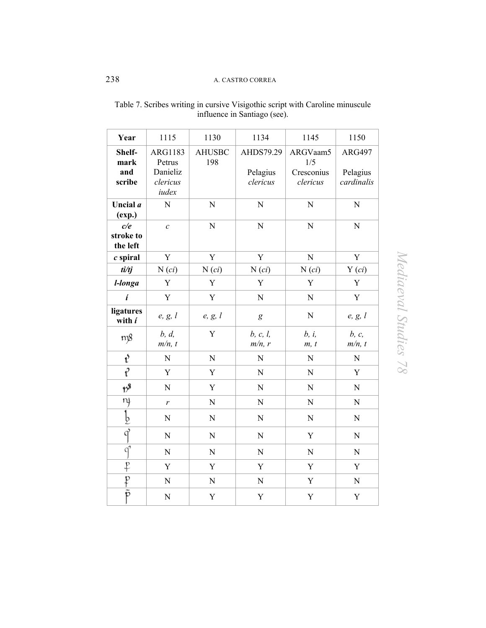| Year                         | 1115                          | 1130                 | 1134                  | 1145                          | 1150                      |
|------------------------------|-------------------------------|----------------------|-----------------------|-------------------------------|---------------------------|
| Shelf-<br>mark<br>and        | ARG1183<br>Petrus<br>Danieliz | <b>AHUSBC</b><br>198 | AHDS79.29<br>Pelagius | ARGVaam5<br>1/5<br>Cresconius | <b>ARG497</b><br>Pelagius |
| scribe                       | clericus<br>iudex             |                      | clericus              | clericus                      | cardinalis                |
| Uncial a<br>(exp.)           | N                             | ${\bf N}$            | ${\bf N}$             | N                             | ${\bf N}$                 |
| c/e<br>stroke to<br>the left | $\mathcal{C}$                 | ${\bf N}$            | ${\bf N}$             | N                             | ${\bf N}$                 |
| $c$ spiral                   | Y                             | Y                    | Y                     | $\mathbf N$                   | Y                         |
| $t\dot{i}/t\dot{j}$          | $N(c_i)$                      | $N(c_i)$             | $N(c_i)$              | $N(c_i)$                      | $Y$ $(ci)$                |
| l-longa                      | Y                             | Y                    | Y                     | Y                             | Y                         |
| $\boldsymbol{i}$             | Y                             | $\mathbf Y$          | ${\bf N}$             | ${\bf N}$                     | $\mathbf Y$               |
| ligatures<br>with i          | e, g, l                       | e, g, l              | $\boldsymbol{g}$      | ${\bf N}$                     | e, g, l                   |
| m8                           | b, d<br>$m/n$ , t             | Y                    | b, c, l,<br>$m/n$ , r | b, i,<br>m, t                 | b, c,<br>$m/n$ , t        |
| $t^{\prime}$                 | $\overline{N}$                | $\overline{N}$       | $\overline{N}$        | $\mathbf N$                   | ${\bf N}$                 |
| $\mathfrak{t}^2$             | Y                             | Y                    | ${\bf N}$             | N                             | Y                         |
| $\gamma^{\$}$                | N                             | $\mathbf Y$          | ${\bf N}$             | $\mathbf N$                   | ${\bf N}$                 |
| nf                           | $\boldsymbol{r}$              | ${\bf N}$            | $\mathbf N$           | $\mathbf N$                   | ${\bf N}$                 |
| $rac{b}{q}$                  | $\mathbf N$                   | ${\bf N}$            | ${\bf N}$             | ${\bf N}$                     | ${\bf N}$                 |
|                              | N                             | ${\bf N}$            | ${\bf N}$             | Y                             | $\mathbf N$               |
| $\overline{q}$               | ${\bf N}$                     | $\mathbf N$          | ${\bf N}$             | ${\bf N}$                     | ${\bf N}$                 |
| f                            | Y                             | Y                    | Y                     | Y                             | $\mathbf Y$               |
| $\overline{p}$               | $\mathbf N$                   | ${\bf N}$            | $\mathbf N$           | Y                             | ${\bf N}$                 |
| $\overline{\tilde{p}}$       | $\overline{N}$                | Y                    | $\mathbf Y$           | $\mathbf Y$                   | $\mathbf Y$               |

# Table 7. Scribes writing in cursive Visigothic script with Caroline minuscule influence in Santiago (see).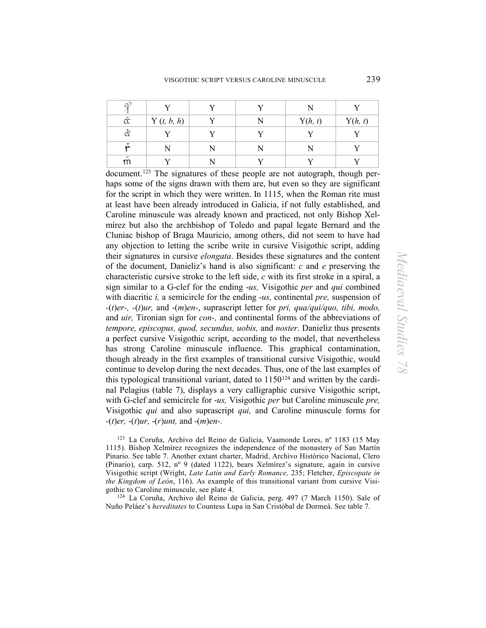| $\tilde{\alpha}$ | Y(t, b, h) |  | Y(h, t) | Y(h, t) |
|------------------|------------|--|---------|---------|
| $\check{\alpha}$ |            |  |         |         |
| ũ                |            |  |         |         |
| m                |            |  |         |         |

document.[123](#page-36-0) The signatures of these people are not autograph, though perhaps some of the signs drawn with them are, but even so they are significant for the script in which they were written. In 1115, when the Roman rite must at least have been already introduced in Galicia, if not fully established, and Caroline minuscule was already known and practiced, not only Bishop Xelmírez but also the archbishop of Toledo and papal legate Bernard and the Cluniac bishop of Braga Mauricio, among others, did not seem to have had any objection to letting the scribe write in cursive Visigothic script, adding their signatures in cursive *elongata*. Besides these signatures and the content of the document, Danieliz's hand is also significant: *c* and *e* preserving the characteristic cursive stroke to the left side, *c* with its first stroke in a spiral, a sign similar to a G-clef for the ending -*us,* Visigothic *per* and *qui* combined with diacritic *i,* a semicircle for the ending -*us,* continental *pre,* suspension of *-*(*t*)*er-, -*(*t*)*ur,* and -(*m*)*en*-, suprascript letter for *pri, qua/qui/quo, tibi, modo,* and *uir,* Tironian sign for *con-,* and continental forms of the abbreviations of *tempore, episcopus, quod, secundus, uobis,* and *noster*. Danieliz thus presents a perfect cursive Visigothic script, according to the model, that nevertheless has strong Caroline minuscule influence. This graphical contamination, though already in the first examples of transitional cursive Visigothic, would continue to develop during the next decades. Thus, one of the last examples of this typological transitional variant, dated to  $1150^{124}$  $1150^{124}$  $1150^{124}$  and written by the cardinal Pelagius (table 7), displays a very calligraphic cursive Visigothic script, with G-clef and semicircle for -*us,* Visigothic *per* but Caroline minuscule *pre,* Visigothic *qui* and also suprascript *qui,* and Caroline minuscule forms for *-*(*t*)*er,* -(*t*)*ur,* -(*r*)*unt,* and -(*m*)*en-.* 

<span id="page-36-0"></span>123 La Coruña, Archivo del Reino de Galicia, Vaamonde Lores, nº 1183 (15 May 1115). Bishop Xelmírez recognizes the independence of the monastery of San Martín Pinario. See table 7. Another extant charter, Madrid, Archivo Histórico Nacional, Clero (Pinario), carp. 512, nº 9 (dated 1122), bears Xelmírez's signature, again in cursive Visigothic script (Wright, *Late Latin and Early Romance,* 235; Fletcher, *Episcopate in the Kingdom of León*, 116). As example of this transitional variant from cursive Visi-

<span id="page-36-1"></span>gothic to Caroline minuscule, see plate 4. 124 La Coruña, Archivo del Reino de Galicia, perg. 497 (7 March 1150). Sale of Nuño Peláez's *hereditates* to Countess Lupa in San Cristóbal de Dormeá. See table 7.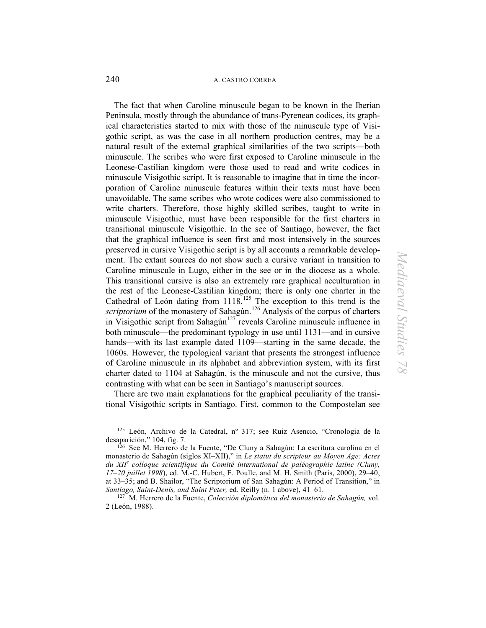The fact that when Caroline minuscule began to be known in the Iberian Peninsula, mostly through the abundance of trans-Pyrenean codices, its graphical characteristics started to mix with those of the minuscule type of Visigothic script, as was the case in all northern production centres, may be a natural result of the external graphical similarities of the two scripts—both minuscule. The scribes who were first exposed to Caroline minuscule in the Leonese-Castilian kingdom were those used to read and write codices in minuscule Visigothic script. It is reasonable to imagine that in time the incorporation of Caroline minuscule features within their texts must have been unavoidable. The same scribes who wrote codices were also commissioned to write charters. Therefore, those highly skilled scribes, taught to write in minuscule Visigothic, must have been responsible for the first charters in transitional minuscule Visigothic. In the see of Santiago, however, the fact that the graphical influence is seen first and most intensively in the sources preserved in cursive Visigothic script is by all accounts a remarkable development. The extant sources do not show such a cursive variant in transition to Caroline minuscule in Lugo, either in the see or in the diocese as a whole. This transitional cursive is also an extremely rare graphical acculturation in the rest of the Leonese-Castilian kingdom; there is only one charter in the Cathedral of León dating from  $1118$ .<sup>[125](#page-37-0)</sup> The exception to this trend is the *scriptorium* of the monastery of Sahagún.<sup>[126](#page-37-1)</sup> Analysis of the corpus of charters in Visigothic script from Sahagún<sup>[127](#page-37-2)</sup> reveals Caroline minuscule influence in both minuscule—the predominant typology in use until 1131—and in cursive hands—with its last example dated 1109—starting in the same decade, the 1060s. However, the typological variant that presents the strongest influence of Caroline minuscule in its alphabet and abbreviation system, with its first charter dated to 1104 at Sahagún, is the minuscule and not the cursive, thus contrasting with what can be seen in Santiago's manuscript sources.

There are two main explanations for the graphical peculiarity of the transitional Visigothic scripts in Santiago. First, common to the Compostelan see

<span id="page-37-0"></span>125 León, Archivo de la Catedral, nº 317; see Ruiz Asencio, "Cronología de la desaparición," 104, fig. 7.

<span id="page-37-1"></span>126 See M. Herrero de la Fuente, "De Cluny a Sahagún: La escritura carolina en el monasterio de Sahagún (siglos XI–XII)," in *Le statut du scripteur au Moyen Age: Actes du XII<sup>e</sup> colloque scientifique du Comité international de paléographie latine (Cluny, 17–20 juillet 1998*), ed. M.-C. Hubert, E. Poulle, and M. H. Smith (Paris, 2000), 29–40, at 33–35; and B. Shailor, "The Scriptorium of San Sahagún: A Period of Transition," in *Santiago, Saint-Denis, and Saint Peter,* ed. Reilly (n. 1 above), 41–61.

<span id="page-37-2"></span>127 M. Herrero de la Fuente, *Colección diplomática del monasterio de Sahagún,* vol. 2 (León, 1988).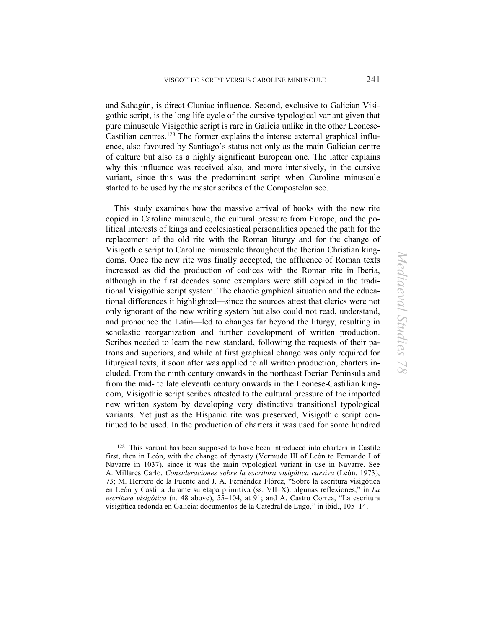and Sahagún, is direct Cluniac influence. Second, exclusive to Galician Visigothic script, is the long life cycle of the cursive typological variant given that pure minuscule Visigothic script is rare in Galicia unlike in the other Leonese-Castilian centres[.128](#page-38-0) The former explains the intense external graphical influence, also favoured by Santiago's status not only as the main Galician centre of culture but also as a highly significant European one. The latter explains why this influence was received also, and more intensively, in the cursive variant, since this was the predominant script when Caroline minuscule started to be used by the master scribes of the Compostelan see.

This study examines how the massive arrival of books with the new rite copied in Caroline minuscule, the cultural pressure from Europe, and the political interests of kings and ecclesiastical personalities opened the path for the replacement of the old rite with the Roman liturgy and for the change of Visigothic script to Caroline minuscule throughout the Iberian Christian kingdoms. Once the new rite was finally accepted, the affluence of Roman texts increased as did the production of codices with the Roman rite in Iberia, although in the first decades some exemplars were still copied in the traditional Visigothic script system. The chaotic graphical situation and the educational differences it highlighted—since the sources attest that clerics were not only ignorant of the new writing system but also could not read, understand, and pronounce the Latin—led to changes far beyond the liturgy, resulting in scholastic reorganization and further development of written production. Scribes needed to learn the new standard, following the requests of their patrons and superiors, and while at first graphical change was only required for liturgical texts, it soon after was applied to all written production, charters included. From the ninth century onwards in the northeast Iberian Peninsula and from the mid- to late eleventh century onwards in the Leonese-Castilian kingdom, Visigothic script scribes attested to the cultural pressure of the imported new written system by developing very distinctive transitional typological variants. Yet just as the Hispanic rite was preserved, Visigothic script continued to be used. In the production of charters it was used for some hundred

<span id="page-38-0"></span><sup>128</sup> This variant has been supposed to have been introduced into charters in Castile first, then in León, with the change of dynasty (Vermudo III of León to Fernando I of Navarre in 1037), since it was the main typological variant in use in Navarre. See A. Millares Carlo, *Consideraciones sobre la escritura visigótica cursiva* (León, 1973), 73; M. Herrero de la Fuente and J. A. Fernández Flórez, "Sobre la escritura visigótica en León y Castilla durante su etapa primitiva (ss. VII–X): algunas reflexiones," in *La escritura visigótica* (n. 48 above), 55–104, at 91; and A. Castro Correa, "La escritura visigótica redonda en Galicia: documentos de la Catedral de Lugo," in ibid., 105–14.